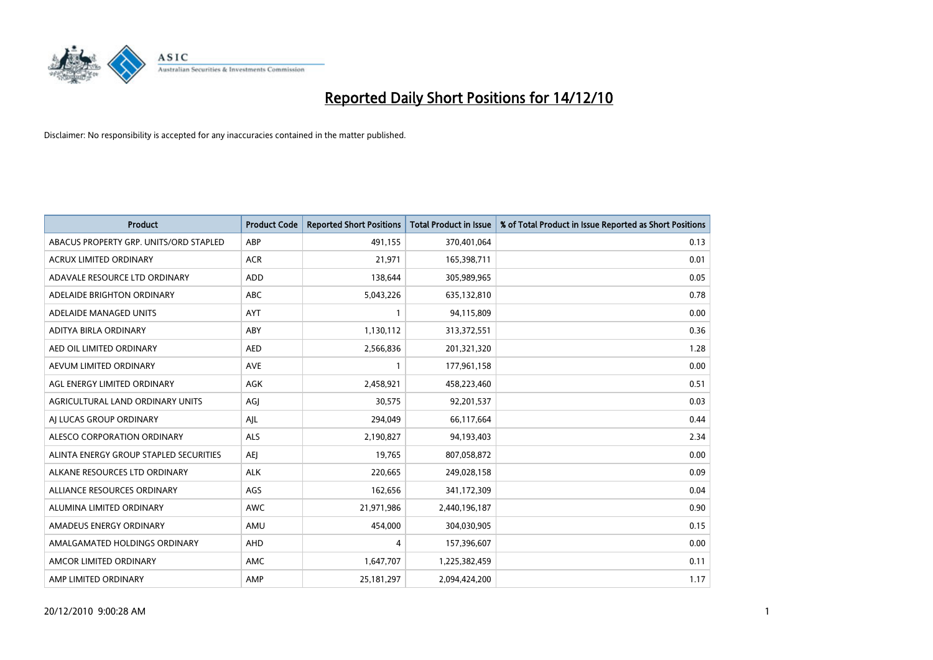

| <b>Product</b>                         | <b>Product Code</b> | <b>Reported Short Positions</b> | Total Product in Issue | % of Total Product in Issue Reported as Short Positions |
|----------------------------------------|---------------------|---------------------------------|------------------------|---------------------------------------------------------|
| ABACUS PROPERTY GRP. UNITS/ORD STAPLED | ABP                 | 491,155                         | 370,401,064            | 0.13                                                    |
| ACRUX LIMITED ORDINARY                 | <b>ACR</b>          | 21,971                          | 165,398,711            | 0.01                                                    |
| ADAVALE RESOURCE LTD ORDINARY          | ADD                 | 138,644                         | 305,989,965            | 0.05                                                    |
| ADELAIDE BRIGHTON ORDINARY             | <b>ABC</b>          | 5,043,226                       | 635,132,810            | 0.78                                                    |
| ADELAIDE MANAGED UNITS                 | <b>AYT</b>          |                                 | 94,115,809             | 0.00                                                    |
| ADITYA BIRLA ORDINARY                  | ABY                 | 1,130,112                       | 313,372,551            | 0.36                                                    |
| AED OIL LIMITED ORDINARY               | <b>AED</b>          | 2,566,836                       | 201,321,320            | 1.28                                                    |
| AEVUM LIMITED ORDINARY                 | <b>AVE</b>          |                                 | 177,961,158            | 0.00                                                    |
| AGL ENERGY LIMITED ORDINARY            | <b>AGK</b>          | 2,458,921                       | 458,223,460            | 0.51                                                    |
| AGRICULTURAL LAND ORDINARY UNITS       | AGI                 | 30,575                          | 92,201,537             | 0.03                                                    |
| AI LUCAS GROUP ORDINARY                | AJL                 | 294,049                         | 66,117,664             | 0.44                                                    |
| ALESCO CORPORATION ORDINARY            | <b>ALS</b>          | 2,190,827                       | 94,193,403             | 2.34                                                    |
| ALINTA ENERGY GROUP STAPLED SECURITIES | <b>AEJ</b>          | 19,765                          | 807,058,872            | 0.00                                                    |
| ALKANE RESOURCES LTD ORDINARY          | <b>ALK</b>          | 220,665                         | 249,028,158            | 0.09                                                    |
| ALLIANCE RESOURCES ORDINARY            | AGS                 | 162,656                         | 341,172,309            | 0.04                                                    |
| ALUMINA LIMITED ORDINARY               | <b>AWC</b>          | 21,971,986                      | 2,440,196,187          | 0.90                                                    |
| AMADEUS ENERGY ORDINARY                | AMU                 | 454,000                         | 304,030,905            | 0.15                                                    |
| AMALGAMATED HOLDINGS ORDINARY          | AHD                 | 4                               | 157,396,607            | 0.00                                                    |
| AMCOR LIMITED ORDINARY                 | <b>AMC</b>          | 1,647,707                       | 1,225,382,459          | 0.11                                                    |
| AMP LIMITED ORDINARY                   | AMP                 | 25, 181, 297                    | 2,094,424,200          | 1.17                                                    |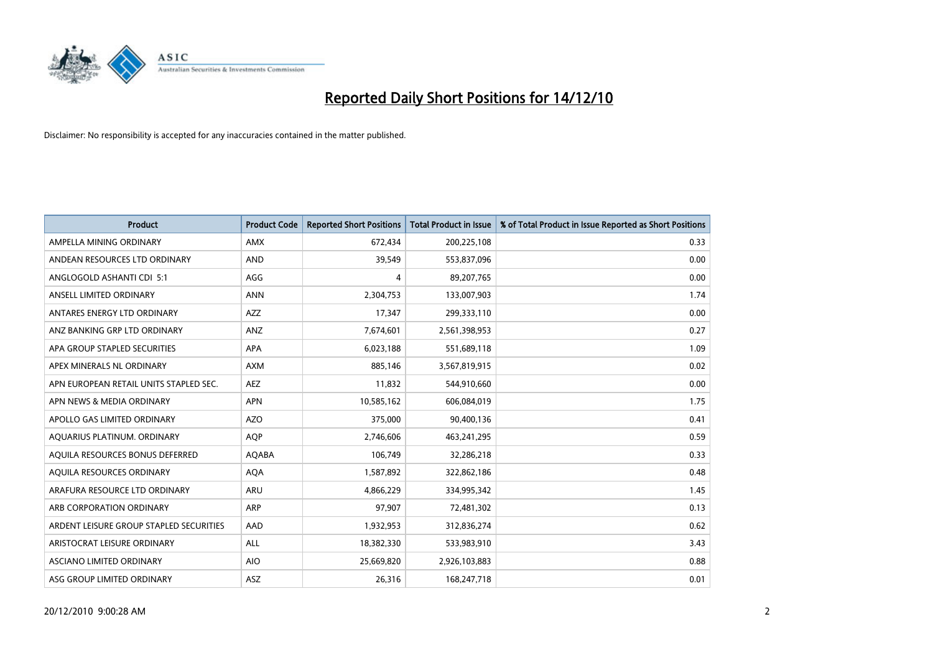

| <b>Product</b>                          | <b>Product Code</b> | <b>Reported Short Positions</b> | Total Product in Issue | % of Total Product in Issue Reported as Short Positions |
|-----------------------------------------|---------------------|---------------------------------|------------------------|---------------------------------------------------------|
| AMPELLA MINING ORDINARY                 | <b>AMX</b>          | 672,434                         | 200,225,108            | 0.33                                                    |
| ANDEAN RESOURCES LTD ORDINARY           | <b>AND</b>          | 39,549                          | 553,837,096            | 0.00                                                    |
| ANGLOGOLD ASHANTI CDI 5:1               | AGG                 | 4                               | 89,207,765             | 0.00                                                    |
| ANSELL LIMITED ORDINARY                 | <b>ANN</b>          | 2,304,753                       | 133,007,903            | 1.74                                                    |
| ANTARES ENERGY LTD ORDINARY             | <b>AZZ</b>          | 17,347                          | 299,333,110            | 0.00                                                    |
| ANZ BANKING GRP LTD ORDINARY            | ANZ                 | 7,674,601                       | 2,561,398,953          | 0.27                                                    |
| APA GROUP STAPLED SECURITIES            | <b>APA</b>          | 6,023,188                       | 551,689,118            | 1.09                                                    |
| APEX MINERALS NL ORDINARY               | <b>AXM</b>          | 885,146                         | 3,567,819,915          | 0.02                                                    |
| APN EUROPEAN RETAIL UNITS STAPLED SEC.  | <b>AEZ</b>          | 11,832                          | 544,910,660            | 0.00                                                    |
| APN NEWS & MEDIA ORDINARY               | <b>APN</b>          | 10,585,162                      | 606,084,019            | 1.75                                                    |
| APOLLO GAS LIMITED ORDINARY             | <b>AZO</b>          | 375,000                         | 90,400,136             | 0.41                                                    |
| AQUARIUS PLATINUM. ORDINARY             | <b>AOP</b>          | 2,746,606                       | 463,241,295            | 0.59                                                    |
| AQUILA RESOURCES BONUS DEFERRED         | AQABA               | 106,749                         | 32,286,218             | 0.33                                                    |
| AOUILA RESOURCES ORDINARY               | <b>AQA</b>          | 1,587,892                       | 322,862,186            | 0.48                                                    |
| ARAFURA RESOURCE LTD ORDINARY           | <b>ARU</b>          | 4,866,229                       | 334,995,342            | 1.45                                                    |
| ARB CORPORATION ORDINARY                | <b>ARP</b>          | 97,907                          | 72,481,302             | 0.13                                                    |
| ARDENT LEISURE GROUP STAPLED SECURITIES | AAD                 | 1,932,953                       | 312,836,274            | 0.62                                                    |
| ARISTOCRAT LEISURE ORDINARY             | ALL                 | 18,382,330                      | 533,983,910            | 3.43                                                    |
| <b>ASCIANO LIMITED ORDINARY</b>         | <b>AIO</b>          | 25,669,820                      | 2,926,103,883          | 0.88                                                    |
| ASG GROUP LIMITED ORDINARY              | <b>ASZ</b>          | 26,316                          | 168,247,718            | 0.01                                                    |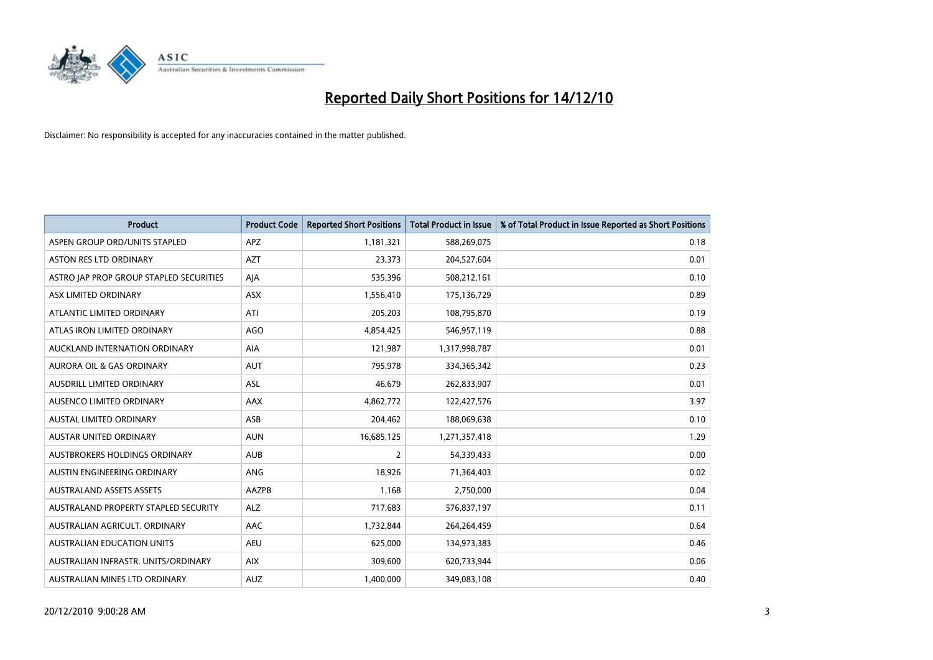

| <b>Product</b>                          | <b>Product Code</b> | <b>Reported Short Positions</b> | Total Product in Issue | % of Total Product in Issue Reported as Short Positions |
|-----------------------------------------|---------------------|---------------------------------|------------------------|---------------------------------------------------------|
| ASPEN GROUP ORD/UNITS STAPLED           | <b>APZ</b>          | 1,181,321                       | 588,269,075            | 0.18                                                    |
| ASTON RES LTD ORDINARY                  | <b>AZT</b>          | 23,373                          | 204,527,604            | 0.01                                                    |
| ASTRO JAP PROP GROUP STAPLED SECURITIES | AJA                 | 535,396                         | 508,212,161            | 0.10                                                    |
| ASX LIMITED ORDINARY                    | ASX                 | 1,556,410                       | 175,136,729            | 0.89                                                    |
| ATLANTIC LIMITED ORDINARY               | ATI                 | 205,203                         | 108,795,870            | 0.19                                                    |
| ATLAS IRON LIMITED ORDINARY             | <b>AGO</b>          | 4,854,425                       | 546,957,119            | 0.88                                                    |
| AUCKLAND INTERNATION ORDINARY           | <b>AIA</b>          | 121,987                         | 1,317,998,787          | 0.01                                                    |
| AURORA OIL & GAS ORDINARY               | <b>AUT</b>          | 795,978                         | 334,365,342            | 0.23                                                    |
| AUSDRILL LIMITED ORDINARY               | <b>ASL</b>          | 46,679                          | 262,833,907            | 0.01                                                    |
| AUSENCO LIMITED ORDINARY                | AAX                 | 4,862,772                       | 122,427,576            | 3.97                                                    |
| AUSTAL LIMITED ORDINARY                 | ASB                 | 204,462                         | 188,069,638            | 0.10                                                    |
| <b>AUSTAR UNITED ORDINARY</b>           | <b>AUN</b>          | 16,685,125                      | 1,271,357,418          | 1.29                                                    |
| AUSTBROKERS HOLDINGS ORDINARY           | <b>AUB</b>          | $\overline{2}$                  | 54,339,433             | 0.00                                                    |
| AUSTIN ENGINEERING ORDINARY             | ANG                 | 18,926                          | 71,364,403             | 0.02                                                    |
| <b>AUSTRALAND ASSETS ASSETS</b>         | AAZPB               | 1,168                           | 2,750,000              | 0.04                                                    |
| AUSTRALAND PROPERTY STAPLED SECURITY    | <b>ALZ</b>          | 717,683                         | 576,837,197            | 0.11                                                    |
| AUSTRALIAN AGRICULT. ORDINARY           | AAC                 | 1,732,844                       | 264,264,459            | 0.64                                                    |
| AUSTRALIAN EDUCATION UNITS              | <b>AEU</b>          | 625,000                         | 134,973,383            | 0.46                                                    |
| AUSTRALIAN INFRASTR, UNITS/ORDINARY     | <b>AIX</b>          | 309,600                         | 620,733,944            | 0.06                                                    |
| AUSTRALIAN MINES LTD ORDINARY           | <b>AUZ</b>          | 1,400,000                       | 349,083,108            | 0.40                                                    |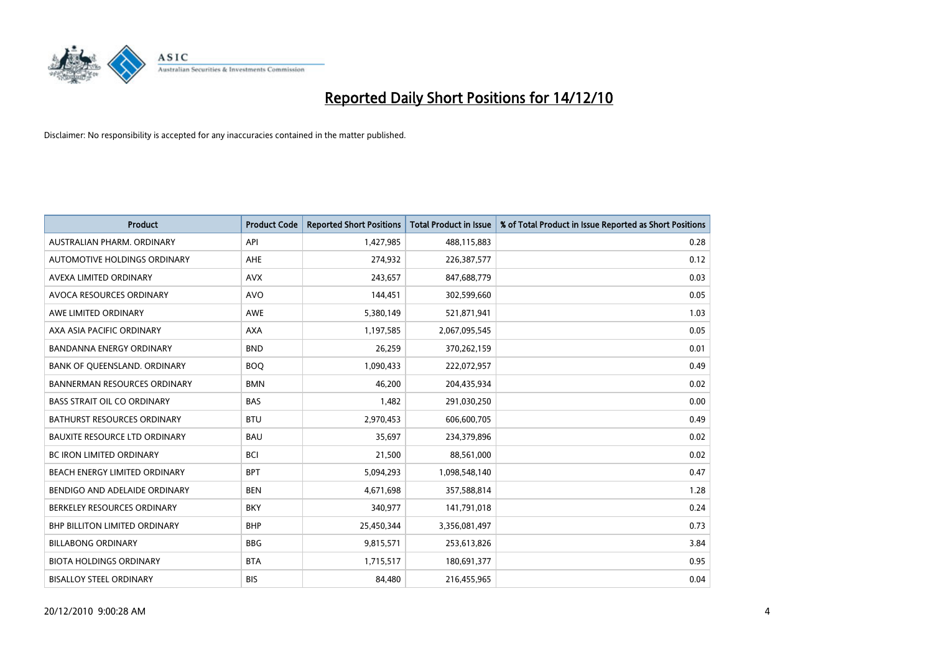

| <b>Product</b>                       | <b>Product Code</b> | <b>Reported Short Positions</b> | <b>Total Product in Issue</b> | % of Total Product in Issue Reported as Short Positions |
|--------------------------------------|---------------------|---------------------------------|-------------------------------|---------------------------------------------------------|
| AUSTRALIAN PHARM, ORDINARY           | API                 | 1,427,985                       | 488,115,883                   | 0.28                                                    |
| AUTOMOTIVE HOLDINGS ORDINARY         | <b>AHE</b>          | 274,932                         | 226,387,577                   | 0.12                                                    |
| AVEXA LIMITED ORDINARY               | <b>AVX</b>          | 243,657                         | 847,688,779                   | 0.03                                                    |
| AVOCA RESOURCES ORDINARY             | <b>AVO</b>          | 144,451                         | 302,599,660                   | 0.05                                                    |
| AWE LIMITED ORDINARY                 | <b>AWE</b>          | 5,380,149                       | 521,871,941                   | 1.03                                                    |
| AXA ASIA PACIFIC ORDINARY            | <b>AXA</b>          | 1,197,585                       | 2,067,095,545                 | 0.05                                                    |
| BANDANNA ENERGY ORDINARY             | <b>BND</b>          | 26,259                          | 370,262,159                   | 0.01                                                    |
| BANK OF QUEENSLAND. ORDINARY         | <b>BOO</b>          | 1,090,433                       | 222,072,957                   | 0.49                                                    |
| <b>BANNERMAN RESOURCES ORDINARY</b>  | <b>BMN</b>          | 46,200                          | 204,435,934                   | 0.02                                                    |
| <b>BASS STRAIT OIL CO ORDINARY</b>   | <b>BAS</b>          | 1,482                           | 291,030,250                   | 0.00                                                    |
| BATHURST RESOURCES ORDINARY          | <b>BTU</b>          | 2,970,453                       | 606,600,705                   | 0.49                                                    |
| <b>BAUXITE RESOURCE LTD ORDINARY</b> | <b>BAU</b>          | 35,697                          | 234,379,896                   | 0.02                                                    |
| <b>BC IRON LIMITED ORDINARY</b>      | <b>BCI</b>          | 21,500                          | 88,561,000                    | 0.02                                                    |
| BEACH ENERGY LIMITED ORDINARY        | <b>BPT</b>          | 5,094,293                       | 1,098,548,140                 | 0.47                                                    |
| BENDIGO AND ADELAIDE ORDINARY        | <b>BEN</b>          | 4,671,698                       | 357,588,814                   | 1.28                                                    |
| BERKELEY RESOURCES ORDINARY          | <b>BKY</b>          | 340,977                         | 141,791,018                   | 0.24                                                    |
| BHP BILLITON LIMITED ORDINARY        | <b>BHP</b>          | 25,450,344                      | 3,356,081,497                 | 0.73                                                    |
| <b>BILLABONG ORDINARY</b>            | <b>BBG</b>          | 9,815,571                       | 253,613,826                   | 3.84                                                    |
| <b>BIOTA HOLDINGS ORDINARY</b>       | <b>BTA</b>          | 1,715,517                       | 180,691,377                   | 0.95                                                    |
| <b>BISALLOY STEEL ORDINARY</b>       | <b>BIS</b>          | 84,480                          | 216,455,965                   | 0.04                                                    |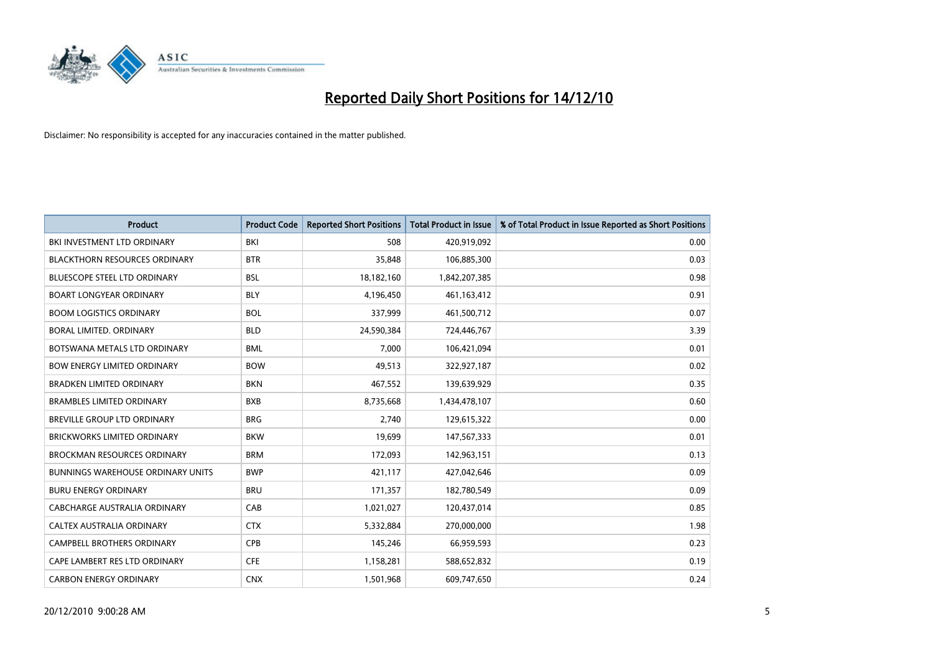

| <b>Product</b>                           | <b>Product Code</b> | <b>Reported Short Positions</b> | <b>Total Product in Issue</b> | % of Total Product in Issue Reported as Short Positions |
|------------------------------------------|---------------------|---------------------------------|-------------------------------|---------------------------------------------------------|
| BKI INVESTMENT LTD ORDINARY              | BKI                 | 508                             | 420,919,092                   | 0.00                                                    |
| <b>BLACKTHORN RESOURCES ORDINARY</b>     | <b>BTR</b>          | 35,848                          | 106,885,300                   | 0.03                                                    |
| <b>BLUESCOPE STEEL LTD ORDINARY</b>      | <b>BSL</b>          | 18,182,160                      | 1,842,207,385                 | 0.98                                                    |
| <b>BOART LONGYEAR ORDINARY</b>           | <b>BLY</b>          | 4,196,450                       | 461,163,412                   | 0.91                                                    |
| <b>BOOM LOGISTICS ORDINARY</b>           | <b>BOL</b>          | 337,999                         | 461,500,712                   | 0.07                                                    |
| <b>BORAL LIMITED, ORDINARY</b>           | <b>BLD</b>          | 24,590,384                      | 724,446,767                   | 3.39                                                    |
| BOTSWANA METALS LTD ORDINARY             | <b>BML</b>          | 7,000                           | 106,421,094                   | 0.01                                                    |
| <b>BOW ENERGY LIMITED ORDINARY</b>       | <b>BOW</b>          | 49,513                          | 322,927,187                   | 0.02                                                    |
| <b>BRADKEN LIMITED ORDINARY</b>          | <b>BKN</b>          | 467,552                         | 139,639,929                   | 0.35                                                    |
| <b>BRAMBLES LIMITED ORDINARY</b>         | <b>BXB</b>          | 8,735,668                       | 1,434,478,107                 | 0.60                                                    |
| BREVILLE GROUP LTD ORDINARY              | <b>BRG</b>          | 2,740                           | 129,615,322                   | 0.00                                                    |
| <b>BRICKWORKS LIMITED ORDINARY</b>       | <b>BKW</b>          | 19,699                          | 147,567,333                   | 0.01                                                    |
| BROCKMAN RESOURCES ORDINARY              | <b>BRM</b>          | 172,093                         | 142,963,151                   | 0.13                                                    |
| <b>BUNNINGS WAREHOUSE ORDINARY UNITS</b> | <b>BWP</b>          | 421,117                         | 427,042,646                   | 0.09                                                    |
| <b>BURU ENERGY ORDINARY</b>              | <b>BRU</b>          | 171,357                         | 182,780,549                   | 0.09                                                    |
| CABCHARGE AUSTRALIA ORDINARY             | CAB                 | 1,021,027                       | 120,437,014                   | 0.85                                                    |
| CALTEX AUSTRALIA ORDINARY                | <b>CTX</b>          | 5,332,884                       | 270,000,000                   | 1.98                                                    |
| CAMPBELL BROTHERS ORDINARY               | <b>CPB</b>          | 145,246                         | 66,959,593                    | 0.23                                                    |
| CAPE LAMBERT RES LTD ORDINARY            | <b>CFE</b>          | 1,158,281                       | 588,652,832                   | 0.19                                                    |
| <b>CARBON ENERGY ORDINARY</b>            | <b>CNX</b>          | 1,501,968                       | 609,747,650                   | 0.24                                                    |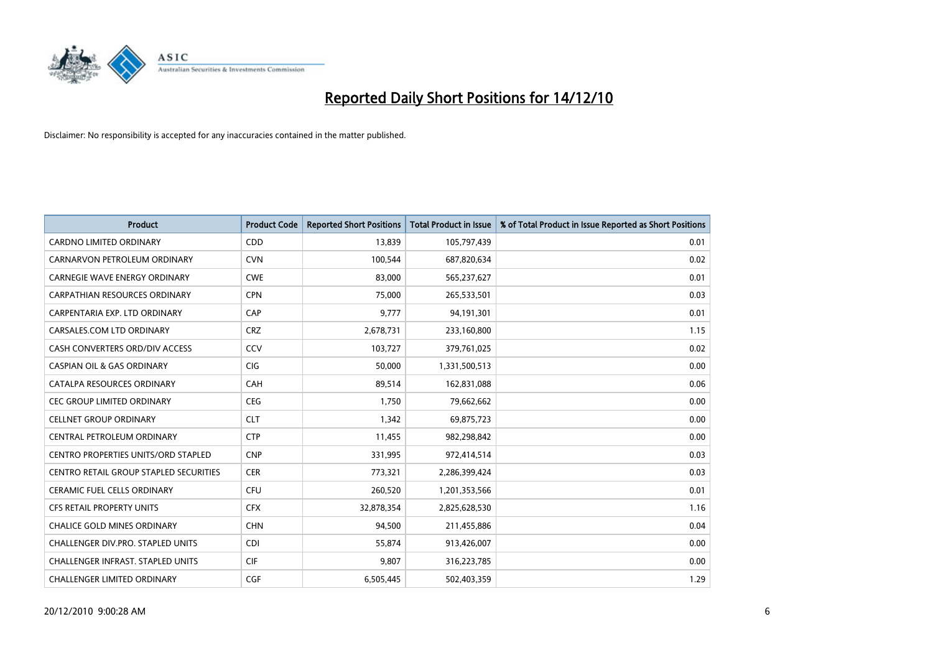

| <b>Product</b>                                | <b>Product Code</b> | <b>Reported Short Positions</b> | Total Product in Issue | % of Total Product in Issue Reported as Short Positions |
|-----------------------------------------------|---------------------|---------------------------------|------------------------|---------------------------------------------------------|
| <b>CARDNO LIMITED ORDINARY</b>                | CDD                 | 13,839                          | 105,797,439            | 0.01                                                    |
| CARNARVON PETROLEUM ORDINARY                  | <b>CVN</b>          | 100,544                         | 687,820,634            | 0.02                                                    |
| <b>CARNEGIE WAVE ENERGY ORDINARY</b>          | <b>CWE</b>          | 83,000                          | 565,237,627            | 0.01                                                    |
| CARPATHIAN RESOURCES ORDINARY                 | <b>CPN</b>          | 75,000                          | 265,533,501            | 0.03                                                    |
| CARPENTARIA EXP. LTD ORDINARY                 | CAP                 | 9,777                           | 94,191,301             | 0.01                                                    |
| CARSALES.COM LTD ORDINARY                     | <b>CRZ</b>          | 2,678,731                       | 233,160,800            | 1.15                                                    |
| CASH CONVERTERS ORD/DIV ACCESS                | CCV                 | 103,727                         | 379,761,025            | 0.02                                                    |
| <b>CASPIAN OIL &amp; GAS ORDINARY</b>         | <b>CIG</b>          | 50,000                          | 1,331,500,513          | 0.00                                                    |
| CATALPA RESOURCES ORDINARY                    | CAH                 | 89,514                          | 162,831,088            | 0.06                                                    |
| <b>CEC GROUP LIMITED ORDINARY</b>             | <b>CEG</b>          | 1,750                           | 79,662,662             | 0.00                                                    |
| <b>CELLNET GROUP ORDINARY</b>                 | <b>CLT</b>          | 1,342                           | 69,875,723             | 0.00                                                    |
| CENTRAL PETROLEUM ORDINARY                    | <b>CTP</b>          | 11,455                          | 982,298,842            | 0.00                                                    |
| <b>CENTRO PROPERTIES UNITS/ORD STAPLED</b>    | <b>CNP</b>          | 331,995                         | 972,414,514            | 0.03                                                    |
| <b>CENTRO RETAIL GROUP STAPLED SECURITIES</b> | <b>CER</b>          | 773,321                         | 2,286,399,424          | 0.03                                                    |
| <b>CERAMIC FUEL CELLS ORDINARY</b>            | <b>CFU</b>          | 260,520                         | 1,201,353,566          | 0.01                                                    |
| CFS RETAIL PROPERTY UNITS                     | <b>CFX</b>          | 32,878,354                      | 2,825,628,530          | 1.16                                                    |
| <b>CHALICE GOLD MINES ORDINARY</b>            | <b>CHN</b>          | 94,500                          | 211,455,886            | 0.04                                                    |
| CHALLENGER DIV.PRO. STAPLED UNITS             | <b>CDI</b>          | 55,874                          | 913,426,007            | 0.00                                                    |
| <b>CHALLENGER INFRAST, STAPLED UNITS</b>      | <b>CIF</b>          | 9.807                           | 316,223,785            | 0.00                                                    |
| <b>CHALLENGER LIMITED ORDINARY</b>            | CGF                 | 6,505,445                       | 502,403,359            | 1.29                                                    |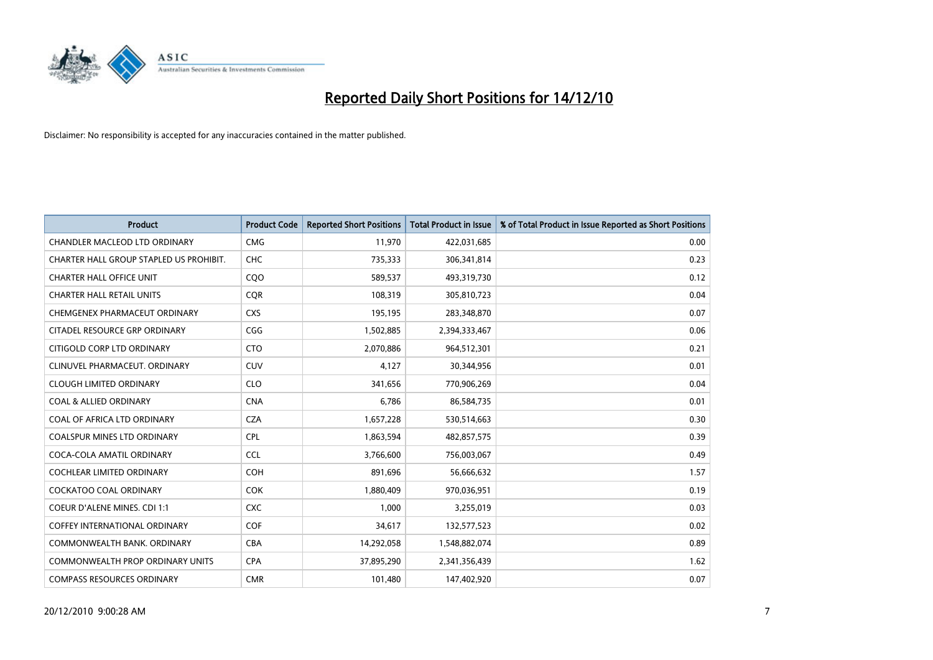

| <b>Product</b>                          | <b>Product Code</b> | <b>Reported Short Positions</b> | <b>Total Product in Issue</b> | % of Total Product in Issue Reported as Short Positions |
|-----------------------------------------|---------------------|---------------------------------|-------------------------------|---------------------------------------------------------|
| <b>CHANDLER MACLEOD LTD ORDINARY</b>    | <b>CMG</b>          | 11,970                          | 422,031,685                   | 0.00                                                    |
| CHARTER HALL GROUP STAPLED US PROHIBIT. | <b>CHC</b>          | 735,333                         | 306,341,814                   | 0.23                                                    |
| <b>CHARTER HALL OFFICE UNIT</b>         | COO                 | 589,537                         | 493,319,730                   | 0.12                                                    |
| <b>CHARTER HALL RETAIL UNITS</b>        | <b>COR</b>          | 108,319                         | 305,810,723                   | 0.04                                                    |
| CHEMGENEX PHARMACEUT ORDINARY           | <b>CXS</b>          | 195,195                         | 283,348,870                   | 0.07                                                    |
| CITADEL RESOURCE GRP ORDINARY           | CGG                 | 1,502,885                       | 2,394,333,467                 | 0.06                                                    |
| CITIGOLD CORP LTD ORDINARY              | <b>CTO</b>          | 2,070,886                       | 964,512,301                   | 0.21                                                    |
| CLINUVEL PHARMACEUT, ORDINARY           | CUV                 | 4,127                           | 30,344,956                    | 0.01                                                    |
| <b>CLOUGH LIMITED ORDINARY</b>          | <b>CLO</b>          | 341,656                         | 770,906,269                   | 0.04                                                    |
| <b>COAL &amp; ALLIED ORDINARY</b>       | <b>CNA</b>          | 6,786                           | 86,584,735                    | 0.01                                                    |
| COAL OF AFRICA LTD ORDINARY             | <b>CZA</b>          | 1,657,228                       | 530,514,663                   | 0.30                                                    |
| <b>COALSPUR MINES LTD ORDINARY</b>      | CPL                 | 1,863,594                       | 482,857,575                   | 0.39                                                    |
| COCA-COLA AMATIL ORDINARY               | <b>CCL</b>          | 3,766,600                       | 756,003,067                   | 0.49                                                    |
| COCHLEAR LIMITED ORDINARY               | <b>COH</b>          | 891,696                         | 56,666,632                    | 1.57                                                    |
| <b>COCKATOO COAL ORDINARY</b>           | <b>COK</b>          | 1,880,409                       | 970,036,951                   | 0.19                                                    |
| COEUR D'ALENE MINES. CDI 1:1            | <b>CXC</b>          | 1,000                           | 3,255,019                     | 0.03                                                    |
| <b>COFFEY INTERNATIONAL ORDINARY</b>    | COF                 | 34,617                          | 132,577,523                   | 0.02                                                    |
| COMMONWEALTH BANK, ORDINARY             | <b>CBA</b>          | 14,292,058                      | 1,548,882,074                 | 0.89                                                    |
| <b>COMMONWEALTH PROP ORDINARY UNITS</b> | <b>CPA</b>          | 37,895,290                      | 2,341,356,439                 | 1.62                                                    |
| <b>COMPASS RESOURCES ORDINARY</b>       | <b>CMR</b>          | 101,480                         | 147,402,920                   | 0.07                                                    |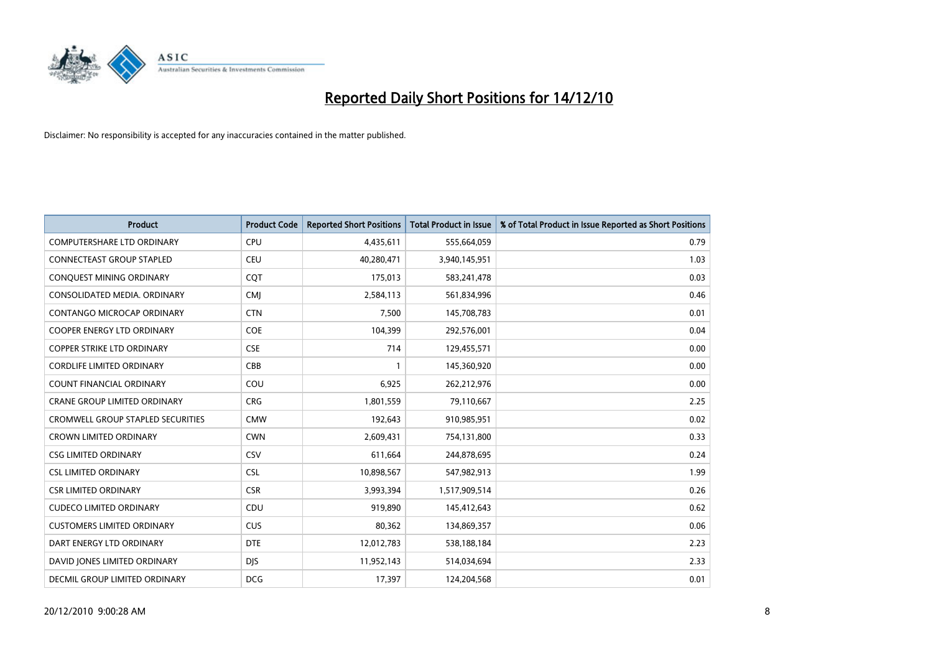

| <b>Product</b>                           | <b>Product Code</b> | <b>Reported Short Positions</b> | <b>Total Product in Issue</b> | % of Total Product in Issue Reported as Short Positions |
|------------------------------------------|---------------------|---------------------------------|-------------------------------|---------------------------------------------------------|
| <b>COMPUTERSHARE LTD ORDINARY</b>        | <b>CPU</b>          | 4,435,611                       | 555,664,059                   | 0.79                                                    |
| <b>CONNECTEAST GROUP STAPLED</b>         | <b>CEU</b>          | 40,280,471                      | 3,940,145,951                 | 1.03                                                    |
| CONQUEST MINING ORDINARY                 | CQT                 | 175,013                         | 583,241,478                   | 0.03                                                    |
| CONSOLIDATED MEDIA. ORDINARY             | <b>CMI</b>          | 2,584,113                       | 561,834,996                   | 0.46                                                    |
| <b>CONTANGO MICROCAP ORDINARY</b>        | <b>CTN</b>          | 7,500                           | 145,708,783                   | 0.01                                                    |
| <b>COOPER ENERGY LTD ORDINARY</b>        | <b>COE</b>          | 104,399                         | 292,576,001                   | 0.04                                                    |
| <b>COPPER STRIKE LTD ORDINARY</b>        | <b>CSE</b>          | 714                             | 129,455,571                   | 0.00                                                    |
| <b>CORDLIFE LIMITED ORDINARY</b>         | CBB                 |                                 | 145,360,920                   | 0.00                                                    |
| COUNT FINANCIAL ORDINARY                 | COU                 | 6,925                           | 262,212,976                   | 0.00                                                    |
| <b>CRANE GROUP LIMITED ORDINARY</b>      | <b>CRG</b>          | 1,801,559                       | 79,110,667                    | 2.25                                                    |
| <b>CROMWELL GROUP STAPLED SECURITIES</b> | <b>CMW</b>          | 192,643                         | 910,985,951                   | 0.02                                                    |
| <b>CROWN LIMITED ORDINARY</b>            | <b>CWN</b>          | 2,609,431                       | 754,131,800                   | 0.33                                                    |
| <b>CSG LIMITED ORDINARY</b>              | CSV                 | 611,664                         | 244,878,695                   | 0.24                                                    |
| <b>CSL LIMITED ORDINARY</b>              | <b>CSL</b>          | 10,898,567                      | 547,982,913                   | 1.99                                                    |
| <b>CSR LIMITED ORDINARY</b>              | <b>CSR</b>          | 3,993,394                       | 1,517,909,514                 | 0.26                                                    |
| <b>CUDECO LIMITED ORDINARY</b>           | CDU                 | 919.890                         | 145,412,643                   | 0.62                                                    |
| <b>CUSTOMERS LIMITED ORDINARY</b>        | <b>CUS</b>          | 80,362                          | 134,869,357                   | 0.06                                                    |
| DART ENERGY LTD ORDINARY                 | <b>DTE</b>          | 12,012,783                      | 538,188,184                   | 2.23                                                    |
| DAVID JONES LIMITED ORDINARY             | <b>DIS</b>          | 11,952,143                      | 514,034,694                   | 2.33                                                    |
| DECMIL GROUP LIMITED ORDINARY            | <b>DCG</b>          | 17,397                          | 124,204,568                   | 0.01                                                    |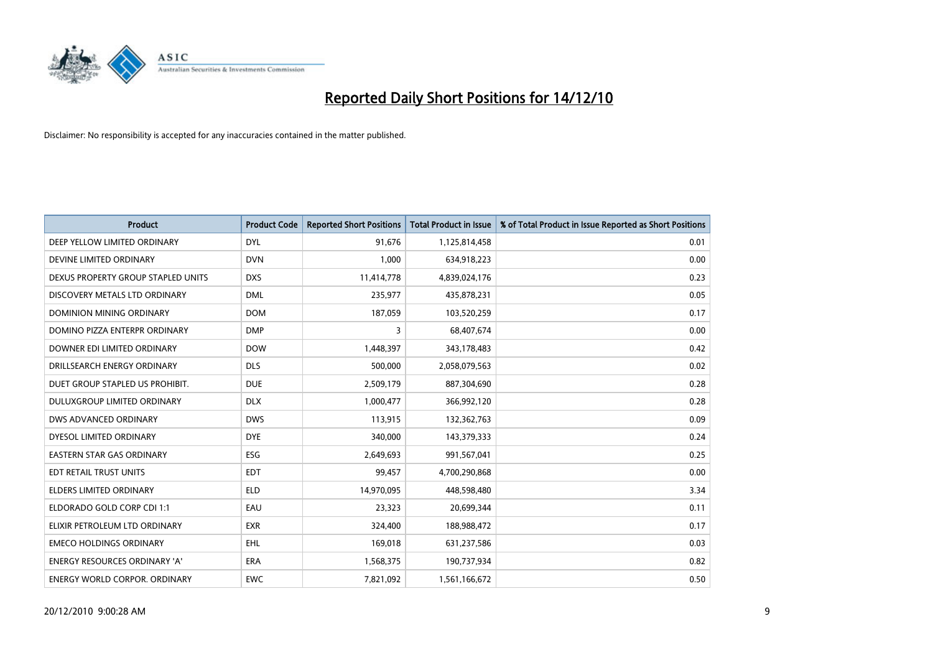

| <b>Product</b>                       | <b>Product Code</b> | <b>Reported Short Positions</b> | Total Product in Issue | % of Total Product in Issue Reported as Short Positions |
|--------------------------------------|---------------------|---------------------------------|------------------------|---------------------------------------------------------|
| DEEP YELLOW LIMITED ORDINARY         | <b>DYL</b>          | 91,676                          | 1,125,814,458          | 0.01                                                    |
| DEVINE LIMITED ORDINARY              | <b>DVN</b>          | 1,000                           | 634,918,223            | 0.00                                                    |
| DEXUS PROPERTY GROUP STAPLED UNITS   | <b>DXS</b>          | 11,414,778                      | 4,839,024,176          | 0.23                                                    |
| DISCOVERY METALS LTD ORDINARY        | <b>DML</b>          | 235,977                         | 435,878,231            | 0.05                                                    |
| <b>DOMINION MINING ORDINARY</b>      | <b>DOM</b>          | 187,059                         | 103,520,259            | 0.17                                                    |
| DOMINO PIZZA ENTERPR ORDINARY        | <b>DMP</b>          | 3                               | 68,407,674             | 0.00                                                    |
| DOWNER EDI LIMITED ORDINARY          | <b>DOW</b>          | 1,448,397                       | 343,178,483            | 0.42                                                    |
| DRILLSEARCH ENERGY ORDINARY          | <b>DLS</b>          | 500,000                         | 2,058,079,563          | 0.02                                                    |
| DUET GROUP STAPLED US PROHIBIT.      | <b>DUE</b>          | 2,509,179                       | 887,304,690            | 0.28                                                    |
| DULUXGROUP LIMITED ORDINARY          | <b>DLX</b>          | 1,000,477                       | 366,992,120            | 0.28                                                    |
| DWS ADVANCED ORDINARY                | <b>DWS</b>          | 113,915                         | 132,362,763            | 0.09                                                    |
| DYESOL LIMITED ORDINARY              | <b>DYE</b>          | 340,000                         | 143,379,333            | 0.24                                                    |
| <b>EASTERN STAR GAS ORDINARY</b>     | ESG                 | 2,649,693                       | 991,567,041            | 0.25                                                    |
| EDT RETAIL TRUST UNITS               | <b>EDT</b>          | 99,457                          | 4,700,290,868          | 0.00                                                    |
| <b>ELDERS LIMITED ORDINARY</b>       | <b>ELD</b>          | 14,970,095                      | 448,598,480            | 3.34                                                    |
| ELDORADO GOLD CORP CDI 1:1           | EAU                 | 23,323                          | 20,699,344             | 0.11                                                    |
| ELIXIR PETROLEUM LTD ORDINARY        | <b>EXR</b>          | 324,400                         | 188,988,472            | 0.17                                                    |
| <b>EMECO HOLDINGS ORDINARY</b>       | <b>EHL</b>          | 169,018                         | 631,237,586            | 0.03                                                    |
| <b>ENERGY RESOURCES ORDINARY 'A'</b> | <b>ERA</b>          | 1,568,375                       | 190,737,934            | 0.82                                                    |
| <b>ENERGY WORLD CORPOR, ORDINARY</b> | <b>EWC</b>          | 7,821,092                       | 1,561,166,672          | 0.50                                                    |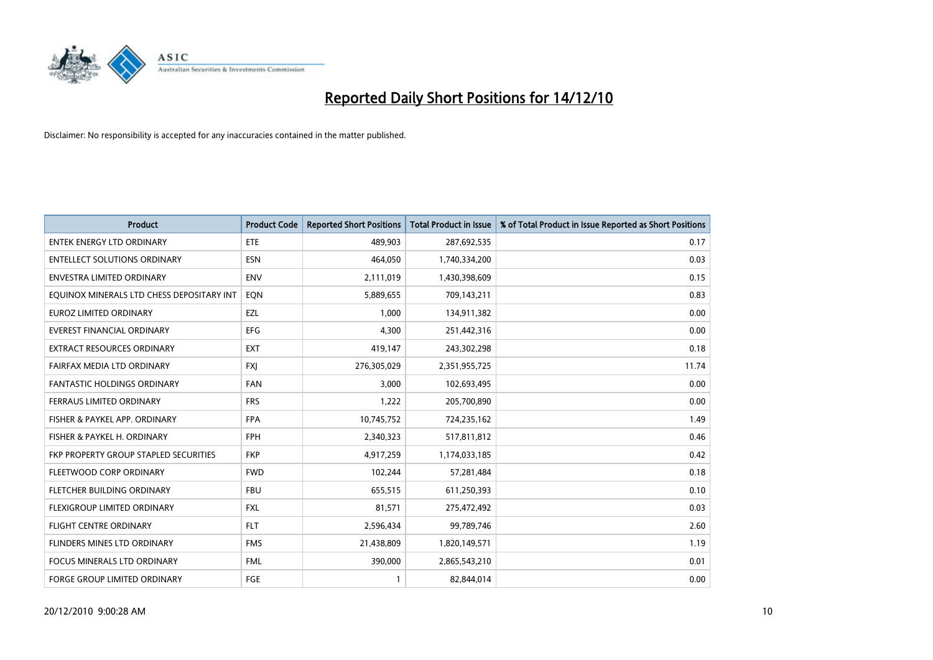

| <b>Product</b>                            | <b>Product Code</b> | <b>Reported Short Positions</b> | Total Product in Issue | % of Total Product in Issue Reported as Short Positions |
|-------------------------------------------|---------------------|---------------------------------|------------------------|---------------------------------------------------------|
| <b>ENTEK ENERGY LTD ORDINARY</b>          | <b>ETE</b>          | 489,903                         | 287,692,535            | 0.17                                                    |
| <b>ENTELLECT SOLUTIONS ORDINARY</b>       | <b>ESN</b>          | 464,050                         | 1,740,334,200          | 0.03                                                    |
| <b>ENVESTRA LIMITED ORDINARY</b>          | <b>ENV</b>          | 2,111,019                       | 1,430,398,609          | 0.15                                                    |
| EQUINOX MINERALS LTD CHESS DEPOSITARY INT | EON                 | 5,889,655                       | 709,143,211            | 0.83                                                    |
| <b>EUROZ LIMITED ORDINARY</b>             | EZL                 | 1.000                           | 134,911,382            | 0.00                                                    |
| <b>EVEREST FINANCIAL ORDINARY</b>         | <b>EFG</b>          | 4,300                           | 251,442,316            | $0.00\,$                                                |
| <b>EXTRACT RESOURCES ORDINARY</b>         | <b>EXT</b>          | 419,147                         | 243,302,298            | 0.18                                                    |
| FAIRFAX MEDIA LTD ORDINARY                | <b>FXI</b>          | 276,305,029                     | 2,351,955,725          | 11.74                                                   |
| <b>FANTASTIC HOLDINGS ORDINARY</b>        | <b>FAN</b>          | 3,000                           | 102,693,495            | 0.00                                                    |
| FERRAUS LIMITED ORDINARY                  | <b>FRS</b>          | 1,222                           | 205,700,890            | 0.00                                                    |
| FISHER & PAYKEL APP. ORDINARY             | <b>FPA</b>          | 10,745,752                      | 724,235,162            | 1.49                                                    |
| FISHER & PAYKEL H. ORDINARY               | <b>FPH</b>          | 2,340,323                       | 517,811,812            | 0.46                                                    |
| FKP PROPERTY GROUP STAPLED SECURITIES     | <b>FKP</b>          | 4,917,259                       | 1,174,033,185          | 0.42                                                    |
| FLEETWOOD CORP ORDINARY                   | <b>FWD</b>          | 102,244                         | 57,281,484             | 0.18                                                    |
| FLETCHER BUILDING ORDINARY                | <b>FBU</b>          | 655,515                         | 611,250,393            | 0.10                                                    |
| FLEXIGROUP LIMITED ORDINARY               | <b>FXL</b>          | 81,571                          | 275,472,492            | 0.03                                                    |
| <b>FLIGHT CENTRE ORDINARY</b>             | <b>FLT</b>          | 2,596,434                       | 99,789,746             | 2.60                                                    |
| FLINDERS MINES LTD ORDINARY               | <b>FMS</b>          | 21,438,809                      | 1,820,149,571          | 1.19                                                    |
| <b>FOCUS MINERALS LTD ORDINARY</b>        | <b>FML</b>          | 390,000                         | 2,865,543,210          | 0.01                                                    |
| <b>FORGE GROUP LIMITED ORDINARY</b>       | <b>FGE</b>          |                                 | 82,844,014             | 0.00                                                    |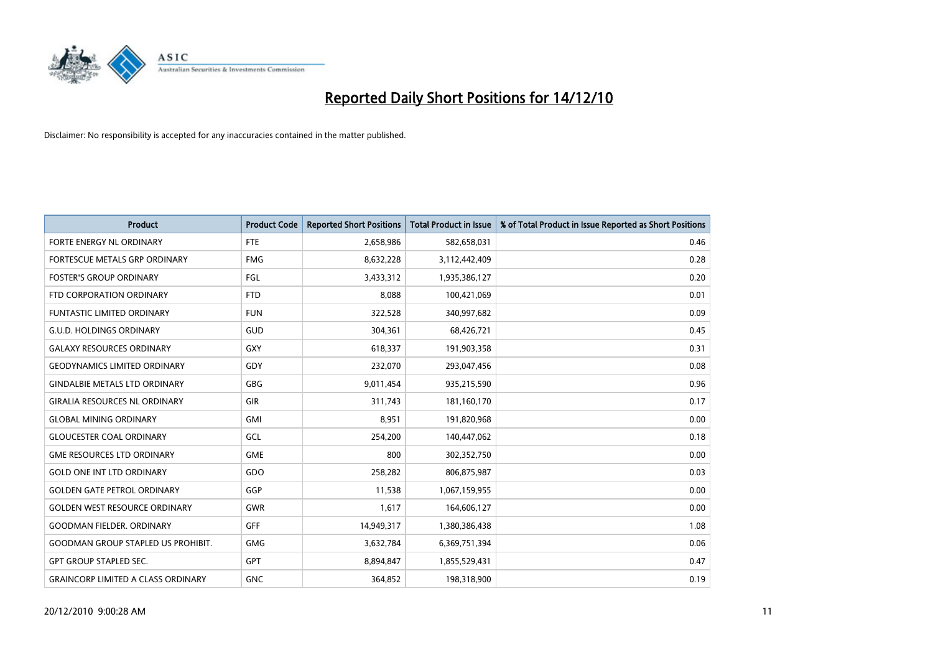

| <b>Product</b>                            | <b>Product Code</b> | <b>Reported Short Positions</b> | Total Product in Issue | % of Total Product in Issue Reported as Short Positions |
|-------------------------------------------|---------------------|---------------------------------|------------------------|---------------------------------------------------------|
| FORTE ENERGY NL ORDINARY                  | <b>FTE</b>          | 2,658,986                       | 582,658,031            | 0.46                                                    |
| FORTESCUE METALS GRP ORDINARY             | <b>FMG</b>          | 8,632,228                       | 3,112,442,409          | 0.28                                                    |
| <b>FOSTER'S GROUP ORDINARY</b>            | FGL                 | 3,433,312                       | 1,935,386,127          | 0.20                                                    |
| FTD CORPORATION ORDINARY                  | <b>FTD</b>          | 8,088                           | 100,421,069            | 0.01                                                    |
| <b>FUNTASTIC LIMITED ORDINARY</b>         | <b>FUN</b>          | 322,528                         | 340,997,682            | 0.09                                                    |
| <b>G.U.D. HOLDINGS ORDINARY</b>           | GUD                 | 304,361                         | 68,426,721             | 0.45                                                    |
| <b>GALAXY RESOURCES ORDINARY</b>          | <b>GXY</b>          | 618.337                         | 191,903,358            | 0.31                                                    |
| <b>GEODYNAMICS LIMITED ORDINARY</b>       | GDY                 | 232,070                         | 293,047,456            | 0.08                                                    |
| <b>GINDALBIE METALS LTD ORDINARY</b>      | <b>GBG</b>          | 9,011,454                       | 935,215,590            | 0.96                                                    |
| <b>GIRALIA RESOURCES NL ORDINARY</b>      | <b>GIR</b>          | 311,743                         | 181,160,170            | 0.17                                                    |
| <b>GLOBAL MINING ORDINARY</b>             | <b>GMI</b>          | 8,951                           | 191,820,968            | 0.00                                                    |
| <b>GLOUCESTER COAL ORDINARY</b>           | GCL                 | 254,200                         | 140,447,062            | 0.18                                                    |
| <b>GME RESOURCES LTD ORDINARY</b>         | <b>GME</b>          | 800                             | 302,352,750            | 0.00                                                    |
| <b>GOLD ONE INT LTD ORDINARY</b>          | GDO                 | 258,282                         | 806,875,987            | 0.03                                                    |
| <b>GOLDEN GATE PETROL ORDINARY</b>        | GGP                 | 11,538                          | 1,067,159,955          | 0.00                                                    |
| <b>GOLDEN WEST RESOURCE ORDINARY</b>      | <b>GWR</b>          | 1,617                           | 164,606,127            | 0.00                                                    |
| <b>GOODMAN FIELDER, ORDINARY</b>          | <b>GFF</b>          | 14,949,317                      | 1,380,386,438          | 1.08                                                    |
| <b>GOODMAN GROUP STAPLED US PROHIBIT.</b> | <b>GMG</b>          | 3,632,784                       | 6,369,751,394          | 0.06                                                    |
| <b>GPT GROUP STAPLED SEC.</b>             | <b>GPT</b>          | 8,894,847                       | 1,855,529,431          | 0.47                                                    |
| <b>GRAINCORP LIMITED A CLASS ORDINARY</b> | <b>GNC</b>          | 364.852                         | 198,318,900            | 0.19                                                    |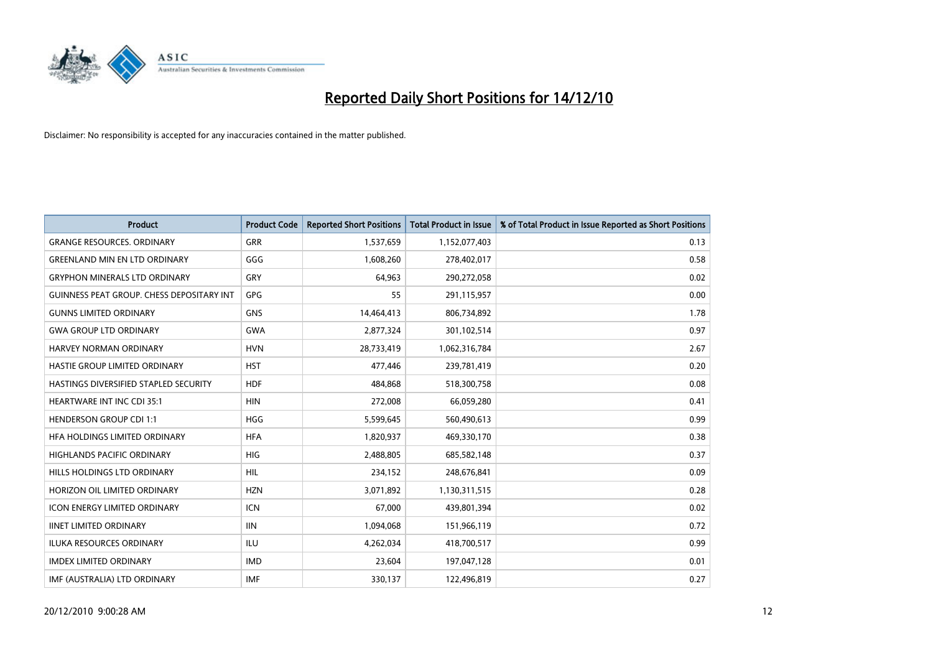

| <b>Product</b>                            | <b>Product Code</b> | <b>Reported Short Positions</b> | <b>Total Product in Issue</b> | % of Total Product in Issue Reported as Short Positions |
|-------------------------------------------|---------------------|---------------------------------|-------------------------------|---------------------------------------------------------|
| <b>GRANGE RESOURCES, ORDINARY</b>         | GRR                 | 1,537,659                       | 1,152,077,403                 | 0.13                                                    |
| <b>GREENLAND MIN EN LTD ORDINARY</b>      | GGG                 | 1,608,260                       | 278,402,017                   | 0.58                                                    |
| <b>GRYPHON MINERALS LTD ORDINARY</b>      | GRY                 | 64,963                          | 290,272,058                   | 0.02                                                    |
| GUINNESS PEAT GROUP. CHESS DEPOSITARY INT | GPG                 | 55                              | 291,115,957                   | 0.00                                                    |
| <b>GUNNS LIMITED ORDINARY</b>             | <b>GNS</b>          | 14,464,413                      | 806,734,892                   | 1.78                                                    |
| <b>GWA GROUP LTD ORDINARY</b>             | <b>GWA</b>          | 2,877,324                       | 301,102,514                   | 0.97                                                    |
| <b>HARVEY NORMAN ORDINARY</b>             | <b>HVN</b>          | 28,733,419                      | 1,062,316,784                 | 2.67                                                    |
| <b>HASTIE GROUP LIMITED ORDINARY</b>      | <b>HST</b>          | 477,446                         | 239,781,419                   | 0.20                                                    |
| HASTINGS DIVERSIFIED STAPLED SECURITY     | <b>HDF</b>          | 484,868                         | 518,300,758                   | 0.08                                                    |
| HEARTWARE INT INC CDI 35:1                | <b>HIN</b>          | 272,008                         | 66,059,280                    | 0.41                                                    |
| <b>HENDERSON GROUP CDI 1:1</b>            | <b>HGG</b>          | 5,599,645                       | 560,490,613                   | 0.99                                                    |
| HFA HOLDINGS LIMITED ORDINARY             | <b>HFA</b>          | 1,820,937                       | 469,330,170                   | 0.38                                                    |
| <b>HIGHLANDS PACIFIC ORDINARY</b>         | <b>HIG</b>          | 2,488,805                       | 685,582,148                   | 0.37                                                    |
| HILLS HOLDINGS LTD ORDINARY               | <b>HIL</b>          | 234,152                         | 248,676,841                   | 0.09                                                    |
| HORIZON OIL LIMITED ORDINARY              | <b>HZN</b>          | 3,071,892                       | 1,130,311,515                 | 0.28                                                    |
| <b>ICON ENERGY LIMITED ORDINARY</b>       | <b>ICN</b>          | 67,000                          | 439,801,394                   | 0.02                                                    |
| <b>IINET LIMITED ORDINARY</b>             | <b>IIN</b>          | 1,094,068                       | 151,966,119                   | 0.72                                                    |
| ILUKA RESOURCES ORDINARY                  | <b>ILU</b>          | 4,262,034                       | 418,700,517                   | 0.99                                                    |
| <b>IMDEX LIMITED ORDINARY</b>             | <b>IMD</b>          | 23,604                          | 197,047,128                   | 0.01                                                    |
| IMF (AUSTRALIA) LTD ORDINARY              | <b>IMF</b>          | 330,137                         | 122,496,819                   | 0.27                                                    |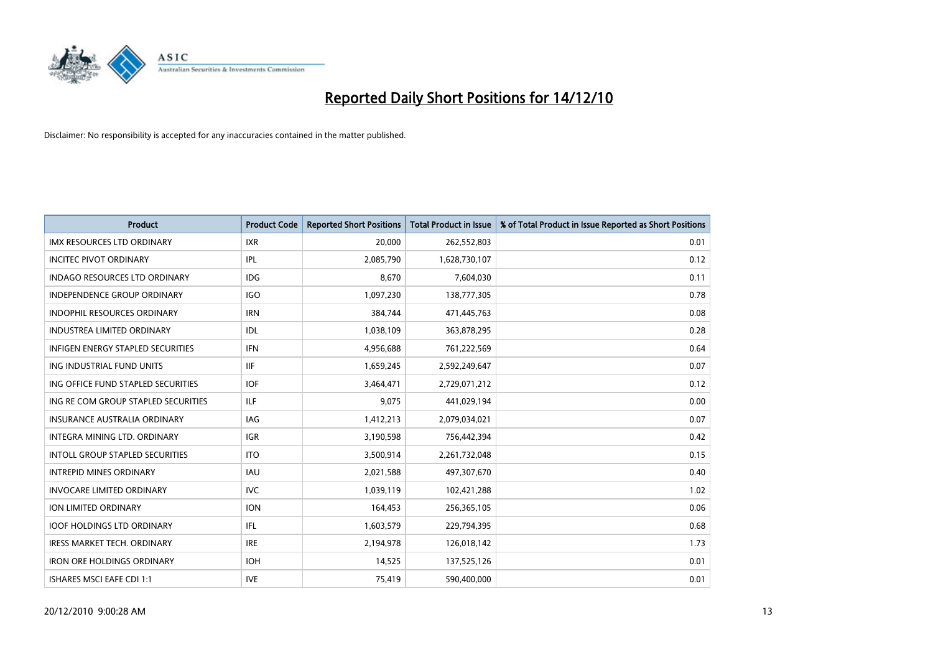

| <b>Product</b>                           | <b>Product Code</b> | <b>Reported Short Positions</b> | Total Product in Issue | % of Total Product in Issue Reported as Short Positions |
|------------------------------------------|---------------------|---------------------------------|------------------------|---------------------------------------------------------|
| <b>IMX RESOURCES LTD ORDINARY</b>        | <b>IXR</b>          | 20,000                          | 262,552,803            | 0.01                                                    |
| <b>INCITEC PIVOT ORDINARY</b>            | <b>IPL</b>          | 2,085,790                       | 1,628,730,107          | 0.12                                                    |
| <b>INDAGO RESOURCES LTD ORDINARY</b>     | <b>IDG</b>          | 8,670                           | 7,604,030              | 0.11                                                    |
| INDEPENDENCE GROUP ORDINARY              | <b>IGO</b>          | 1,097,230                       | 138,777,305            | 0.78                                                    |
| <b>INDOPHIL RESOURCES ORDINARY</b>       | <b>IRN</b>          | 384,744                         | 471,445,763            | 0.08                                                    |
| <b>INDUSTREA LIMITED ORDINARY</b>        | IDL                 | 1,038,109                       | 363,878,295            | 0.28                                                    |
| <b>INFIGEN ENERGY STAPLED SECURITIES</b> | <b>IFN</b>          | 4,956,688                       | 761,222,569            | 0.64                                                    |
| ING INDUSTRIAL FUND UNITS                | <b>IIF</b>          | 1,659,245                       | 2,592,249,647          | 0.07                                                    |
| ING OFFICE FUND STAPLED SECURITIES       | <b>IOF</b>          | 3,464,471                       | 2,729,071,212          | 0.12                                                    |
| ING RE COM GROUP STAPLED SECURITIES      | <b>ILF</b>          | 9,075                           | 441,029,194            | 0.00                                                    |
| <b>INSURANCE AUSTRALIA ORDINARY</b>      | <b>IAG</b>          | 1,412,213                       | 2,079,034,021          | 0.07                                                    |
| INTEGRA MINING LTD, ORDINARY             | <b>IGR</b>          | 3,190,598                       | 756,442,394            | 0.42                                                    |
| <b>INTOLL GROUP STAPLED SECURITIES</b>   | <b>ITO</b>          | 3,500,914                       | 2,261,732,048          | 0.15                                                    |
| <b>INTREPID MINES ORDINARY</b>           | <b>IAU</b>          | 2,021,588                       | 497,307,670            | 0.40                                                    |
| <b>INVOCARE LIMITED ORDINARY</b>         | <b>IVC</b>          | 1,039,119                       | 102,421,288            | 1.02                                                    |
| ION LIMITED ORDINARY                     | <b>ION</b>          | 164,453                         | 256,365,105            | 0.06                                                    |
| <b>IOOF HOLDINGS LTD ORDINARY</b>        | <b>IFL</b>          | 1,603,579                       | 229,794,395            | 0.68                                                    |
| IRESS MARKET TECH. ORDINARY              | <b>IRE</b>          | 2,194,978                       | 126,018,142            | 1.73                                                    |
| <b>IRON ORE HOLDINGS ORDINARY</b>        | <b>IOH</b>          | 14,525                          | 137,525,126            | 0.01                                                    |
| <b>ISHARES MSCI EAFE CDI 1:1</b>         | <b>IVE</b>          | 75,419                          | 590,400,000            | 0.01                                                    |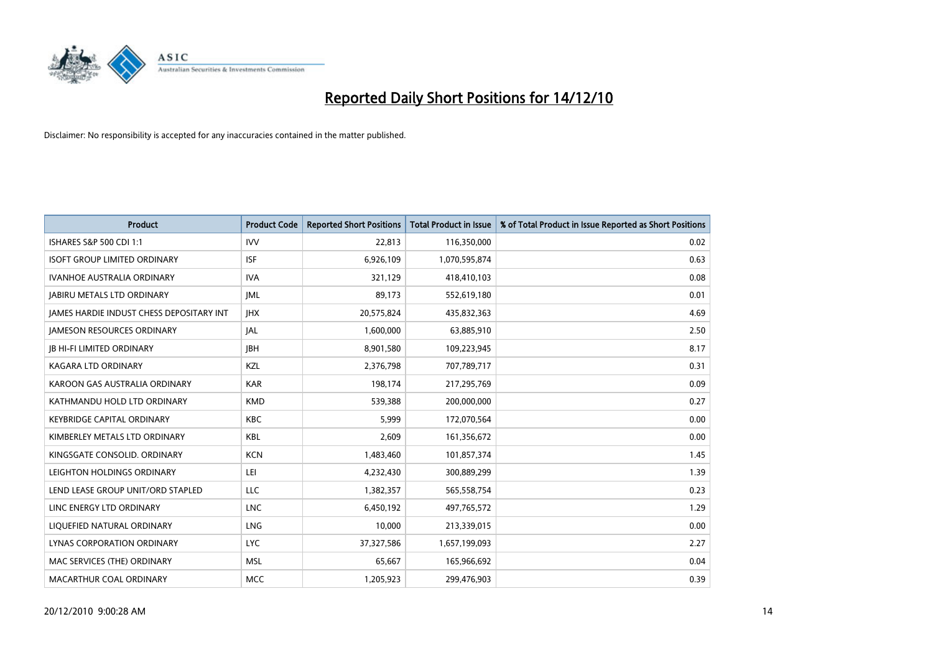

| <b>Product</b>                                  | <b>Product Code</b> | <b>Reported Short Positions</b> | <b>Total Product in Issue</b> | % of Total Product in Issue Reported as Short Positions |
|-------------------------------------------------|---------------------|---------------------------------|-------------------------------|---------------------------------------------------------|
| ISHARES S&P 500 CDI 1:1                         | <b>IVV</b>          | 22,813                          | 116,350,000                   | 0.02                                                    |
| <b>ISOFT GROUP LIMITED ORDINARY</b>             | <b>ISF</b>          | 6,926,109                       | 1,070,595,874                 | 0.63                                                    |
| <b>IVANHOE AUSTRALIA ORDINARY</b>               | <b>IVA</b>          | 321,129                         | 418,410,103                   | 0.08                                                    |
| <b>JABIRU METALS LTD ORDINARY</b>               | <b>JML</b>          | 89,173                          | 552,619,180                   | 0.01                                                    |
| <b>IAMES HARDIE INDUST CHESS DEPOSITARY INT</b> | <b>IHX</b>          | 20,575,824                      | 435,832,363                   | 4.69                                                    |
| <b>JAMESON RESOURCES ORDINARY</b>               | JAL                 | 1,600,000                       | 63,885,910                    | 2.50                                                    |
| <b>JB HI-FI LIMITED ORDINARY</b>                | <b>IBH</b>          | 8,901,580                       | 109,223,945                   | 8.17                                                    |
| <b>KAGARA LTD ORDINARY</b>                      | KZL                 | 2,376,798                       | 707,789,717                   | 0.31                                                    |
| KAROON GAS AUSTRALIA ORDINARY                   | <b>KAR</b>          | 198,174                         | 217,295,769                   | 0.09                                                    |
| KATHMANDU HOLD LTD ORDINARY                     | <b>KMD</b>          | 539,388                         | 200,000,000                   | 0.27                                                    |
| <b>KEYBRIDGE CAPITAL ORDINARY</b>               | <b>KBC</b>          | 5,999                           | 172,070,564                   | 0.00                                                    |
| KIMBERLEY METALS LTD ORDINARY                   | <b>KBL</b>          | 2,609                           | 161,356,672                   | 0.00                                                    |
| KINGSGATE CONSOLID. ORDINARY                    | <b>KCN</b>          | 1,483,460                       | 101,857,374                   | 1.45                                                    |
| LEIGHTON HOLDINGS ORDINARY                      | LEI                 | 4,232,430                       | 300,889,299                   | 1.39                                                    |
| LEND LEASE GROUP UNIT/ORD STAPLED               | LLC                 | 1,382,357                       | 565,558,754                   | 0.23                                                    |
| LINC ENERGY LTD ORDINARY                        | <b>LNC</b>          | 6,450,192                       | 497,765,572                   | 1.29                                                    |
| LIQUEFIED NATURAL ORDINARY                      | LNG                 | 10,000                          | 213,339,015                   | 0.00                                                    |
| LYNAS CORPORATION ORDINARY                      | <b>LYC</b>          | 37,327,586                      | 1,657,199,093                 | 2.27                                                    |
| MAC SERVICES (THE) ORDINARY                     | <b>MSL</b>          | 65,667                          | 165,966,692                   | 0.04                                                    |
| MACARTHUR COAL ORDINARY                         | <b>MCC</b>          | 1,205,923                       | 299.476.903                   | 0.39                                                    |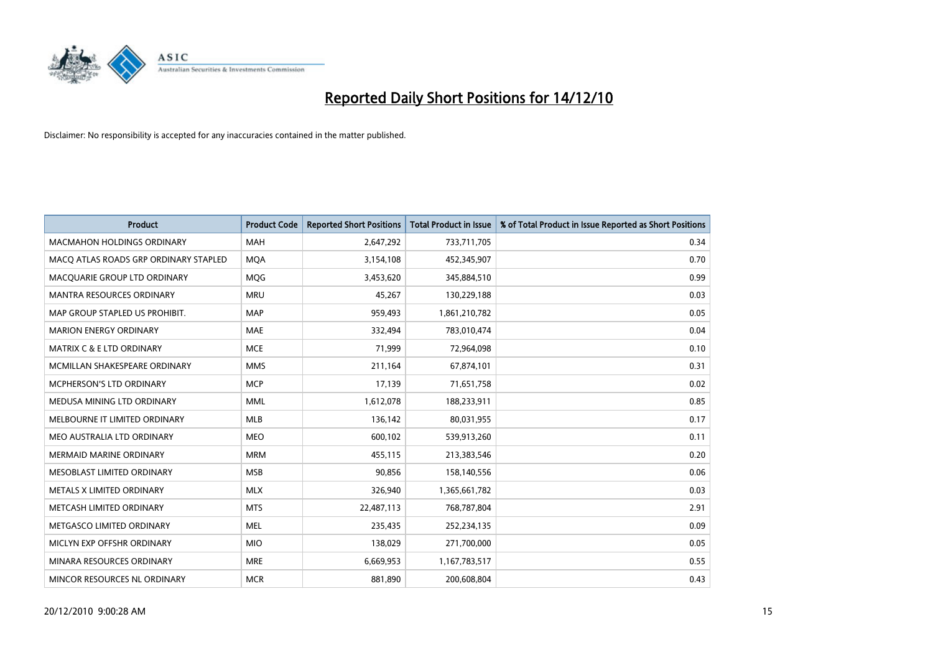

| <b>Product</b>                        | <b>Product Code</b> | <b>Reported Short Positions</b> | Total Product in Issue | % of Total Product in Issue Reported as Short Positions |
|---------------------------------------|---------------------|---------------------------------|------------------------|---------------------------------------------------------|
| <b>MACMAHON HOLDINGS ORDINARY</b>     | <b>MAH</b>          | 2,647,292                       | 733,711,705            | 0.34                                                    |
| MACQ ATLAS ROADS GRP ORDINARY STAPLED | <b>MOA</b>          | 3,154,108                       | 452,345,907            | 0.70                                                    |
| MACQUARIE GROUP LTD ORDINARY          | MQG                 | 3,453,620                       | 345,884,510            | 0.99                                                    |
| <b>MANTRA RESOURCES ORDINARY</b>      | <b>MRU</b>          | 45,267                          | 130,229,188            | 0.03                                                    |
| MAP GROUP STAPLED US PROHIBIT.        | <b>MAP</b>          | 959,493                         | 1,861,210,782          | 0.05                                                    |
| <b>MARION ENERGY ORDINARY</b>         | <b>MAE</b>          | 332,494                         | 783,010,474            | 0.04                                                    |
| <b>MATRIX C &amp; E LTD ORDINARY</b>  | <b>MCE</b>          | 71.999                          | 72,964,098             | 0.10                                                    |
| MCMILLAN SHAKESPEARE ORDINARY         | <b>MMS</b>          | 211,164                         | 67,874,101             | 0.31                                                    |
| MCPHERSON'S LTD ORDINARY              | <b>MCP</b>          | 17,139                          | 71,651,758             | 0.02                                                    |
| MEDUSA MINING LTD ORDINARY            | <b>MML</b>          | 1,612,078                       | 188,233,911            | 0.85                                                    |
| MELBOURNE IT LIMITED ORDINARY         | <b>MLB</b>          | 136,142                         | 80,031,955             | 0.17                                                    |
| MEO AUSTRALIA LTD ORDINARY            | <b>MEO</b>          | 600,102                         | 539,913,260            | 0.11                                                    |
| <b>MERMAID MARINE ORDINARY</b>        | <b>MRM</b>          | 455,115                         | 213,383,546            | 0.20                                                    |
| MESOBLAST LIMITED ORDINARY            | <b>MSB</b>          | 90.856                          | 158,140,556            | 0.06                                                    |
| METALS X LIMITED ORDINARY             | <b>MLX</b>          | 326,940                         | 1,365,661,782          | 0.03                                                    |
| METCASH LIMITED ORDINARY              | <b>MTS</b>          | 22,487,113                      | 768,787,804            | 2.91                                                    |
| METGASCO LIMITED ORDINARY             | <b>MEL</b>          | 235,435                         | 252,234,135            | 0.09                                                    |
| MICLYN EXP OFFSHR ORDINARY            | <b>MIO</b>          | 138,029                         | 271,700,000            | 0.05                                                    |
| MINARA RESOURCES ORDINARY             | <b>MRE</b>          | 6,669,953                       | 1,167,783,517          | 0.55                                                    |
| MINCOR RESOURCES NL ORDINARY          | <b>MCR</b>          | 881.890                         | 200,608,804            | 0.43                                                    |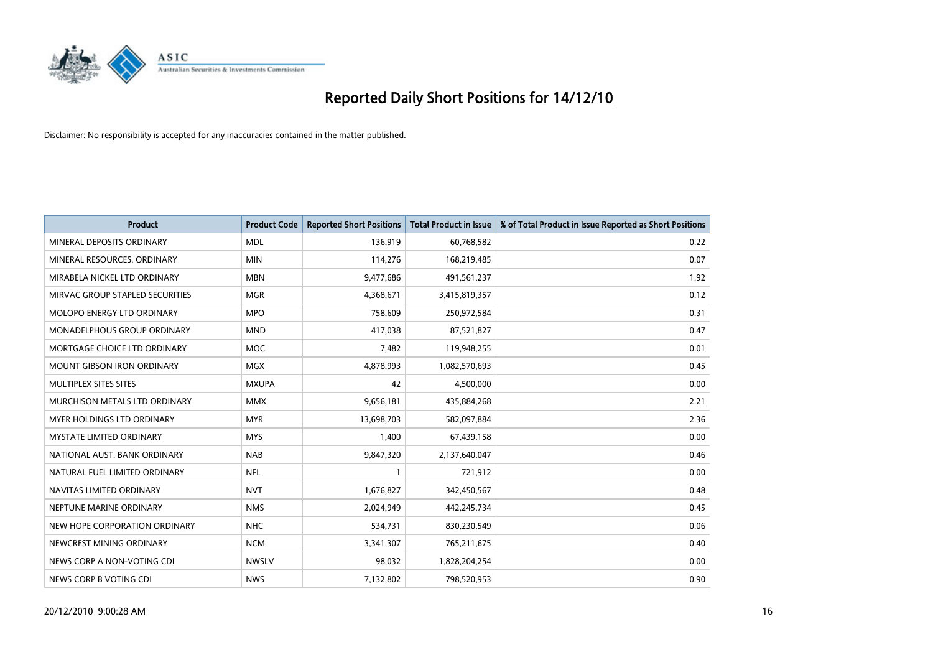

| <b>Product</b>                    | <b>Product Code</b> | <b>Reported Short Positions</b> | <b>Total Product in Issue</b> | % of Total Product in Issue Reported as Short Positions |
|-----------------------------------|---------------------|---------------------------------|-------------------------------|---------------------------------------------------------|
| MINERAL DEPOSITS ORDINARY         | <b>MDL</b>          | 136,919                         | 60,768,582                    | 0.22                                                    |
| MINERAL RESOURCES. ORDINARY       | <b>MIN</b>          | 114,276                         | 168,219,485                   | 0.07                                                    |
| MIRABELA NICKEL LTD ORDINARY      | <b>MBN</b>          | 9,477,686                       | 491,561,237                   | 1.92                                                    |
| MIRVAC GROUP STAPLED SECURITIES   | <b>MGR</b>          | 4,368,671                       | 3,415,819,357                 | 0.12                                                    |
| <b>MOLOPO ENERGY LTD ORDINARY</b> | <b>MPO</b>          | 758,609                         | 250,972,584                   | 0.31                                                    |
| MONADELPHOUS GROUP ORDINARY       | <b>MND</b>          | 417,038                         | 87,521,827                    | 0.47                                                    |
| MORTGAGE CHOICE LTD ORDINARY      | <b>MOC</b>          | 7,482                           | 119,948,255                   | 0.01                                                    |
| MOUNT GIBSON IRON ORDINARY        | <b>MGX</b>          | 4,878,993                       | 1,082,570,693                 | 0.45                                                    |
| MULTIPLEX SITES SITES             | <b>MXUPA</b>        | 42                              | 4,500,000                     | 0.00                                                    |
| MURCHISON METALS LTD ORDINARY     | <b>MMX</b>          | 9,656,181                       | 435,884,268                   | 2.21                                                    |
| MYER HOLDINGS LTD ORDINARY        | <b>MYR</b>          | 13,698,703                      | 582,097,884                   | 2.36                                                    |
| <b>MYSTATE LIMITED ORDINARY</b>   | <b>MYS</b>          | 1,400                           | 67,439,158                    | 0.00                                                    |
| NATIONAL AUST, BANK ORDINARY      | <b>NAB</b>          | 9,847,320                       | 2,137,640,047                 | 0.46                                                    |
| NATURAL FUEL LIMITED ORDINARY     | <b>NFL</b>          |                                 | 721,912                       | 0.00                                                    |
| NAVITAS LIMITED ORDINARY          | <b>NVT</b>          | 1,676,827                       | 342,450,567                   | 0.48                                                    |
| NEPTUNE MARINE ORDINARY           | <b>NMS</b>          | 2,024,949                       | 442,245,734                   | 0.45                                                    |
| NEW HOPE CORPORATION ORDINARY     | <b>NHC</b>          | 534,731                         | 830,230,549                   | 0.06                                                    |
| NEWCREST MINING ORDINARY          | <b>NCM</b>          | 3,341,307                       | 765,211,675                   | 0.40                                                    |
| NEWS CORP A NON-VOTING CDI        | <b>NWSLV</b>        | 98,032                          | 1,828,204,254                 | 0.00                                                    |
| NEWS CORP B VOTING CDI            | <b>NWS</b>          | 7,132,802                       | 798,520,953                   | 0.90                                                    |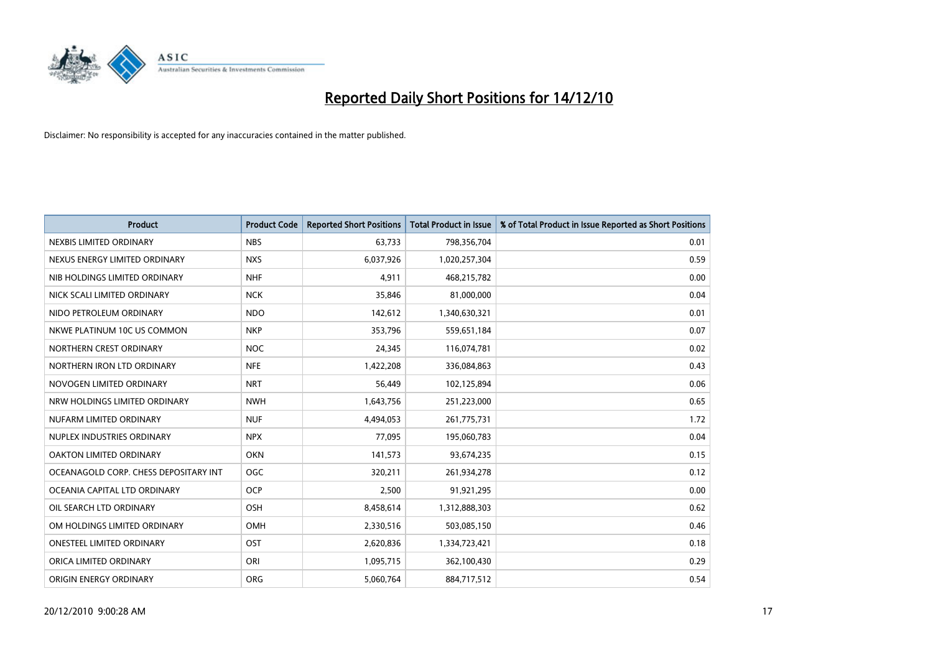

| <b>Product</b>                        | <b>Product Code</b> | <b>Reported Short Positions</b> | <b>Total Product in Issue</b> | % of Total Product in Issue Reported as Short Positions |
|---------------------------------------|---------------------|---------------------------------|-------------------------------|---------------------------------------------------------|
| NEXBIS LIMITED ORDINARY               | <b>NBS</b>          | 63.733                          | 798,356,704                   | 0.01                                                    |
| NEXUS ENERGY LIMITED ORDINARY         | <b>NXS</b>          | 6,037,926                       | 1,020,257,304                 | 0.59                                                    |
| NIB HOLDINGS LIMITED ORDINARY         | <b>NHF</b>          | 4,911                           | 468,215,782                   | 0.00                                                    |
| NICK SCALI LIMITED ORDINARY           | <b>NCK</b>          | 35,846                          | 81,000,000                    | 0.04                                                    |
| NIDO PETROLEUM ORDINARY               | <b>NDO</b>          | 142,612                         | 1,340,630,321                 | 0.01                                                    |
| NKWE PLATINUM 10C US COMMON           | <b>NKP</b>          | 353,796                         | 559,651,184                   | 0.07                                                    |
| NORTHERN CREST ORDINARY               | <b>NOC</b>          | 24,345                          | 116,074,781                   | 0.02                                                    |
| NORTHERN IRON LTD ORDINARY            | <b>NFE</b>          | 1,422,208                       | 336,084,863                   | 0.43                                                    |
| NOVOGEN LIMITED ORDINARY              | <b>NRT</b>          | 56,449                          | 102,125,894                   | 0.06                                                    |
| NRW HOLDINGS LIMITED ORDINARY         | <b>NWH</b>          | 1,643,756                       | 251,223,000                   | 0.65                                                    |
| NUFARM LIMITED ORDINARY               | <b>NUF</b>          | 4,494,053                       | 261,775,731                   | 1.72                                                    |
| NUPLEX INDUSTRIES ORDINARY            | <b>NPX</b>          | 77,095                          | 195,060,783                   | 0.04                                                    |
| OAKTON LIMITED ORDINARY               | <b>OKN</b>          | 141,573                         | 93,674,235                    | 0.15                                                    |
| OCEANAGOLD CORP. CHESS DEPOSITARY INT | OGC                 | 320,211                         | 261,934,278                   | 0.12                                                    |
| OCEANIA CAPITAL LTD ORDINARY          | <b>OCP</b>          | 2,500                           | 91,921,295                    | 0.00                                                    |
| OIL SEARCH LTD ORDINARY               | <b>OSH</b>          | 8,458,614                       | 1,312,888,303                 | 0.62                                                    |
| OM HOLDINGS LIMITED ORDINARY          | <b>OMH</b>          | 2,330,516                       | 503,085,150                   | 0.46                                                    |
| ONESTEEL LIMITED ORDINARY             | OST                 | 2,620,836                       | 1,334,723,421                 | 0.18                                                    |
| ORICA LIMITED ORDINARY                | ORI                 | 1,095,715                       | 362,100,430                   | 0.29                                                    |
| ORIGIN ENERGY ORDINARY                | <b>ORG</b>          | 5,060,764                       | 884,717,512                   | 0.54                                                    |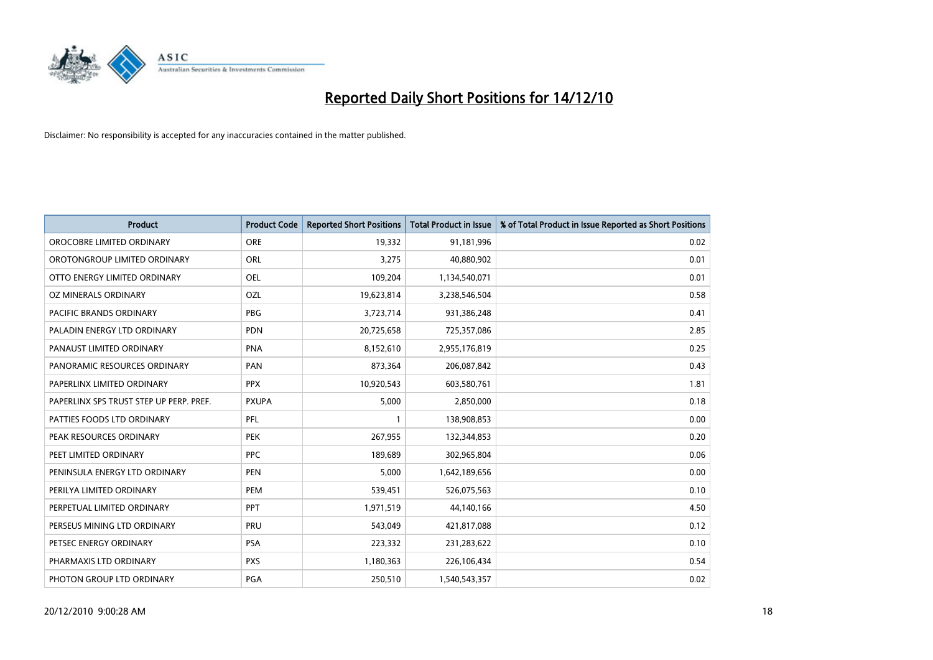

| <b>Product</b>                          | <b>Product Code</b> | <b>Reported Short Positions</b> | Total Product in Issue | % of Total Product in Issue Reported as Short Positions |
|-----------------------------------------|---------------------|---------------------------------|------------------------|---------------------------------------------------------|
| OROCOBRE LIMITED ORDINARY               | <b>ORE</b>          | 19,332                          | 91,181,996             | 0.02                                                    |
| OROTONGROUP LIMITED ORDINARY            | ORL                 | 3,275                           | 40,880,902             | 0.01                                                    |
| OTTO ENERGY LIMITED ORDINARY            | <b>OEL</b>          | 109,204                         | 1,134,540,071          | 0.01                                                    |
| OZ MINERALS ORDINARY                    | OZL                 | 19,623,814                      | 3,238,546,504          | 0.58                                                    |
| <b>PACIFIC BRANDS ORDINARY</b>          | <b>PBG</b>          | 3,723,714                       | 931,386,248            | 0.41                                                    |
| PALADIN ENERGY LTD ORDINARY             | <b>PDN</b>          | 20,725,658                      | 725,357,086            | 2.85                                                    |
| PANAUST LIMITED ORDINARY                | <b>PNA</b>          | 8,152,610                       | 2,955,176,819          | 0.25                                                    |
| PANORAMIC RESOURCES ORDINARY            | PAN                 | 873,364                         | 206,087,842            | 0.43                                                    |
| PAPERLINX LIMITED ORDINARY              | <b>PPX</b>          | 10,920,543                      | 603,580,761            | 1.81                                                    |
| PAPERLINX SPS TRUST STEP UP PERP. PREF. | <b>PXUPA</b>        | 5,000                           | 2,850,000              | 0.18                                                    |
| PATTIES FOODS LTD ORDINARY              | PFL                 |                                 | 138,908,853            | 0.00                                                    |
| PEAK RESOURCES ORDINARY                 | <b>PEK</b>          | 267,955                         | 132,344,853            | 0.20                                                    |
| PEET LIMITED ORDINARY                   | <b>PPC</b>          | 189,689                         | 302,965,804            | 0.06                                                    |
| PENINSULA ENERGY LTD ORDINARY           | <b>PEN</b>          | 5,000                           | 1,642,189,656          | 0.00                                                    |
| PERILYA LIMITED ORDINARY                | <b>PEM</b>          | 539,451                         | 526,075,563            | 0.10                                                    |
| PERPETUAL LIMITED ORDINARY              | PPT                 | 1,971,519                       | 44,140,166             | 4.50                                                    |
| PERSEUS MINING LTD ORDINARY             | PRU                 | 543,049                         | 421,817,088            | 0.12                                                    |
| PETSEC ENERGY ORDINARY                  | <b>PSA</b>          | 223,332                         | 231,283,622            | 0.10                                                    |
| PHARMAXIS LTD ORDINARY                  | <b>PXS</b>          | 1,180,363                       | 226,106,434            | 0.54                                                    |
| PHOTON GROUP LTD ORDINARY               | PGA                 | 250,510                         | 1,540,543,357          | 0.02                                                    |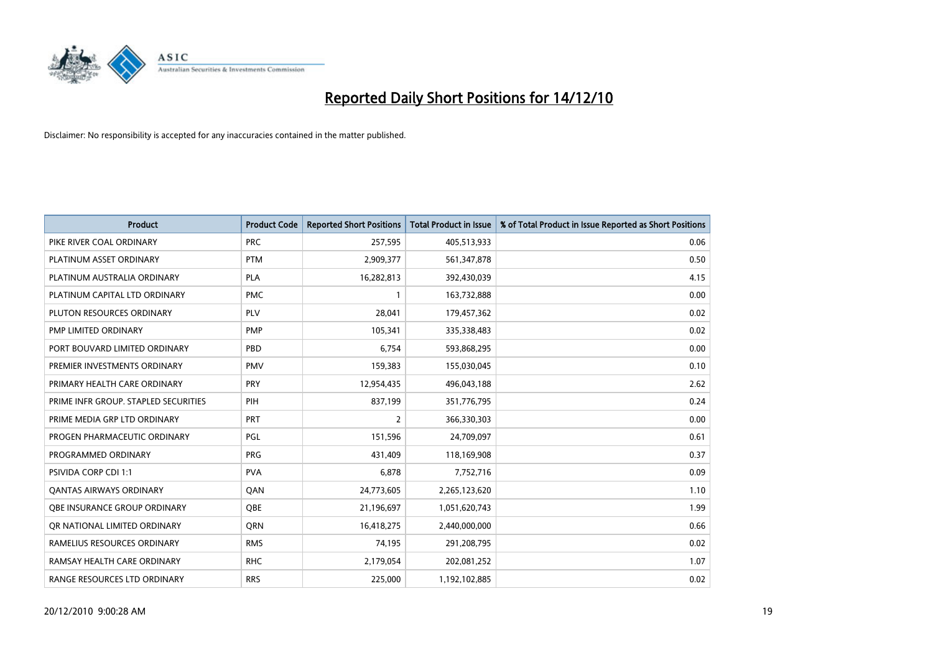

| <b>Product</b>                       | <b>Product Code</b> | <b>Reported Short Positions</b> | <b>Total Product in Issue</b> | % of Total Product in Issue Reported as Short Positions |
|--------------------------------------|---------------------|---------------------------------|-------------------------------|---------------------------------------------------------|
| PIKE RIVER COAL ORDINARY             | <b>PRC</b>          | 257,595                         | 405,513,933                   | 0.06                                                    |
| PLATINUM ASSET ORDINARY              | <b>PTM</b>          | 2,909,377                       | 561,347,878                   | 0.50                                                    |
| PLATINUM AUSTRALIA ORDINARY          | <b>PLA</b>          | 16,282,813                      | 392,430,039                   | 4.15                                                    |
| PLATINUM CAPITAL LTD ORDINARY        | <b>PMC</b>          | $\mathbf{1}$                    | 163,732,888                   | 0.00                                                    |
| PLUTON RESOURCES ORDINARY            | <b>PLV</b>          | 28,041                          | 179,457,362                   | 0.02                                                    |
| PMP LIMITED ORDINARY                 | <b>PMP</b>          | 105,341                         | 335,338,483                   | 0.02                                                    |
| PORT BOUVARD LIMITED ORDINARY        | PBD                 | 6,754                           | 593,868,295                   | 0.00                                                    |
| PREMIER INVESTMENTS ORDINARY         | <b>PMV</b>          | 159,383                         | 155,030,045                   | 0.10                                                    |
| PRIMARY HEALTH CARE ORDINARY         | <b>PRY</b>          | 12,954,435                      | 496,043,188                   | 2.62                                                    |
| PRIME INFR GROUP. STAPLED SECURITIES | PIH                 | 837,199                         | 351,776,795                   | 0.24                                                    |
| PRIME MEDIA GRP LTD ORDINARY         | <b>PRT</b>          | 2                               | 366,330,303                   | 0.00                                                    |
| PROGEN PHARMACEUTIC ORDINARY         | <b>PGL</b>          | 151,596                         | 24,709,097                    | 0.61                                                    |
| PROGRAMMED ORDINARY                  | <b>PRG</b>          | 431,409                         | 118,169,908                   | 0.37                                                    |
| <b>PSIVIDA CORP CDI 1:1</b>          | <b>PVA</b>          | 6,878                           | 7,752,716                     | 0.09                                                    |
| <b>QANTAS AIRWAYS ORDINARY</b>       | QAN                 | 24,773,605                      | 2,265,123,620                 | 1.10                                                    |
| OBE INSURANCE GROUP ORDINARY         | OBE                 | 21,196,697                      | 1,051,620,743                 | 1.99                                                    |
| OR NATIONAL LIMITED ORDINARY         | <b>ORN</b>          | 16,418,275                      | 2,440,000,000                 | 0.66                                                    |
| RAMELIUS RESOURCES ORDINARY          | <b>RMS</b>          | 74,195                          | 291,208,795                   | 0.02                                                    |
| RAMSAY HEALTH CARE ORDINARY          | <b>RHC</b>          | 2,179,054                       | 202,081,252                   | 1.07                                                    |
| RANGE RESOURCES LTD ORDINARY         | <b>RRS</b>          | 225,000                         | 1,192,102,885                 | 0.02                                                    |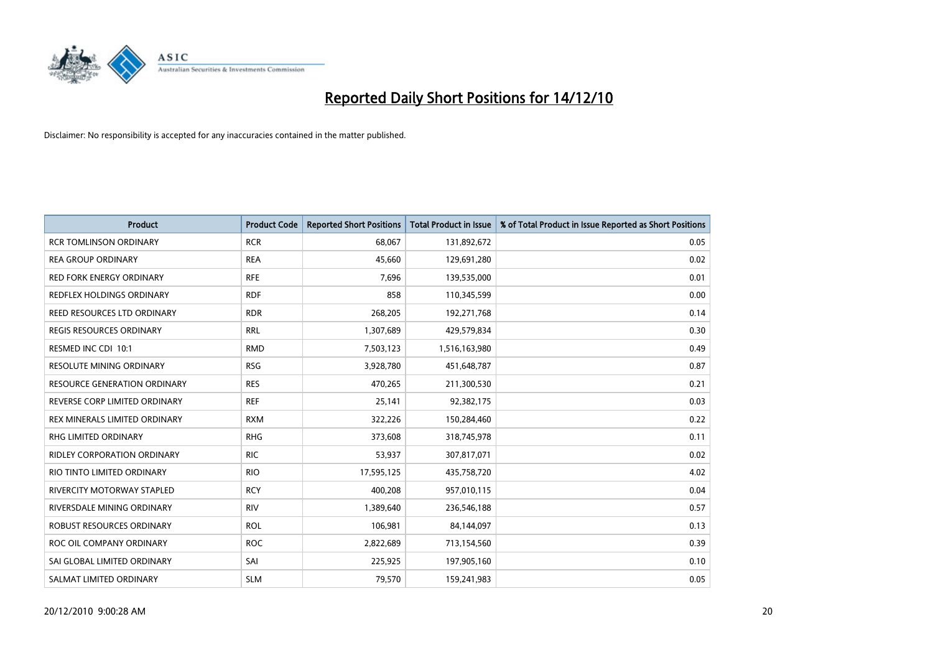

| <b>Product</b>                       | <b>Product Code</b> | <b>Reported Short Positions</b> | <b>Total Product in Issue</b> | % of Total Product in Issue Reported as Short Positions |
|--------------------------------------|---------------------|---------------------------------|-------------------------------|---------------------------------------------------------|
| <b>RCR TOMLINSON ORDINARY</b>        | <b>RCR</b>          | 68,067                          | 131,892,672                   | 0.05                                                    |
| <b>REA GROUP ORDINARY</b>            | <b>REA</b>          | 45,660                          | 129,691,280                   | 0.02                                                    |
| RED FORK ENERGY ORDINARY             | <b>RFE</b>          | 7,696                           | 139,535,000                   | 0.01                                                    |
| REDFLEX HOLDINGS ORDINARY            | <b>RDF</b>          | 858                             | 110,345,599                   | 0.00                                                    |
| REED RESOURCES LTD ORDINARY          | <b>RDR</b>          | 268,205                         | 192,271,768                   | 0.14                                                    |
| <b>REGIS RESOURCES ORDINARY</b>      | <b>RRL</b>          | 1,307,689                       | 429,579,834                   | 0.30                                                    |
| RESMED INC CDI 10:1                  | <b>RMD</b>          | 7,503,123                       | 1,516,163,980                 | 0.49                                                    |
| RESOLUTE MINING ORDINARY             | <b>RSG</b>          | 3,928,780                       | 451,648,787                   | 0.87                                                    |
| <b>RESOURCE GENERATION ORDINARY</b>  | <b>RES</b>          | 470,265                         | 211,300,530                   | 0.21                                                    |
| REVERSE CORP LIMITED ORDINARY        | <b>REF</b>          | 25,141                          | 92,382,175                    | 0.03                                                    |
| <b>REX MINERALS LIMITED ORDINARY</b> | <b>RXM</b>          | 322,226                         | 150,284,460                   | 0.22                                                    |
| RHG LIMITED ORDINARY                 | <b>RHG</b>          | 373,608                         | 318,745,978                   | 0.11                                                    |
| <b>RIDLEY CORPORATION ORDINARY</b>   | <b>RIC</b>          | 53,937                          | 307,817,071                   | 0.02                                                    |
| RIO TINTO LIMITED ORDINARY           | <b>RIO</b>          | 17,595,125                      | 435,758,720                   | 4.02                                                    |
| <b>RIVERCITY MOTORWAY STAPLED</b>    | <b>RCY</b>          | 400,208                         | 957,010,115                   | 0.04                                                    |
| RIVERSDALE MINING ORDINARY           | <b>RIV</b>          | 1,389,640                       | 236,546,188                   | 0.57                                                    |
| ROBUST RESOURCES ORDINARY            | <b>ROL</b>          | 106,981                         | 84,144,097                    | 0.13                                                    |
| ROC OIL COMPANY ORDINARY             | <b>ROC</b>          | 2,822,689                       | 713,154,560                   | 0.39                                                    |
| SAI GLOBAL LIMITED ORDINARY          | SAI                 | 225,925                         | 197,905,160                   | 0.10                                                    |
| SALMAT LIMITED ORDINARY              | <b>SLM</b>          | 79,570                          | 159,241,983                   | 0.05                                                    |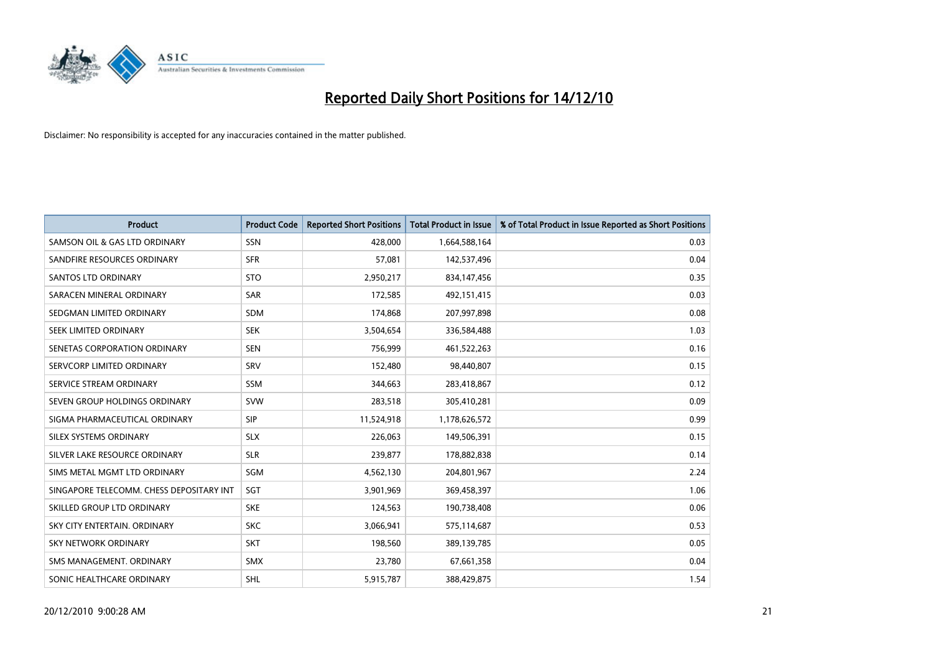

| <b>Product</b>                           | <b>Product Code</b> | <b>Reported Short Positions</b> | <b>Total Product in Issue</b> | % of Total Product in Issue Reported as Short Positions |
|------------------------------------------|---------------------|---------------------------------|-------------------------------|---------------------------------------------------------|
| SAMSON OIL & GAS LTD ORDINARY            | SSN                 | 428,000                         | 1,664,588,164                 | 0.03                                                    |
| SANDFIRE RESOURCES ORDINARY              | <b>SFR</b>          | 57,081                          | 142,537,496                   | 0.04                                                    |
| <b>SANTOS LTD ORDINARY</b>               | <b>STO</b>          | 2,950,217                       | 834,147,456                   | 0.35                                                    |
| SARACEN MINERAL ORDINARY                 | <b>SAR</b>          | 172,585                         | 492,151,415                   | 0.03                                                    |
| SEDGMAN LIMITED ORDINARY                 | <b>SDM</b>          | 174,868                         | 207,997,898                   | 0.08                                                    |
| SEEK LIMITED ORDINARY                    | <b>SEK</b>          | 3,504,654                       | 336,584,488                   | 1.03                                                    |
| SENETAS CORPORATION ORDINARY             | <b>SEN</b>          | 756,999                         | 461,522,263                   | 0.16                                                    |
| SERVCORP LIMITED ORDINARY                | SRV                 | 152,480                         | 98,440,807                    | 0.15                                                    |
| SERVICE STREAM ORDINARY                  | <b>SSM</b>          | 344,663                         | 283,418,867                   | 0.12                                                    |
| SEVEN GROUP HOLDINGS ORDINARY            | <b>SVW</b>          | 283,518                         | 305,410,281                   | 0.09                                                    |
| SIGMA PHARMACEUTICAL ORDINARY            | <b>SIP</b>          | 11,524,918                      | 1,178,626,572                 | 0.99                                                    |
| SILEX SYSTEMS ORDINARY                   | <b>SLX</b>          | 226,063                         | 149,506,391                   | 0.15                                                    |
| SILVER LAKE RESOURCE ORDINARY            | <b>SLR</b>          | 239,877                         | 178,882,838                   | 0.14                                                    |
| SIMS METAL MGMT LTD ORDINARY             | SGM                 | 4,562,130                       | 204,801,967                   | 2.24                                                    |
| SINGAPORE TELECOMM. CHESS DEPOSITARY INT | SGT                 | 3,901,969                       | 369,458,397                   | 1.06                                                    |
| SKILLED GROUP LTD ORDINARY               | <b>SKE</b>          | 124,563                         | 190,738,408                   | 0.06                                                    |
| SKY CITY ENTERTAIN. ORDINARY             | <b>SKC</b>          | 3,066,941                       | 575,114,687                   | 0.53                                                    |
| SKY NETWORK ORDINARY                     | <b>SKT</b>          | 198,560                         | 389,139,785                   | 0.05                                                    |
| SMS MANAGEMENT, ORDINARY                 | <b>SMX</b>          | 23,780                          | 67,661,358                    | 0.04                                                    |
| SONIC HEALTHCARE ORDINARY                | SHL                 | 5,915,787                       | 388,429,875                   | 1.54                                                    |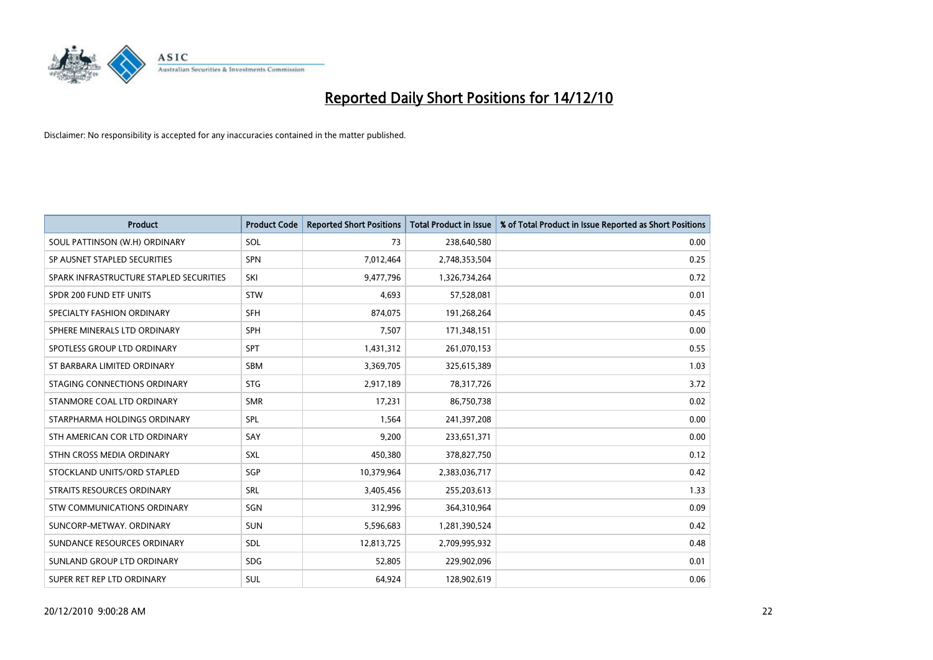

| <b>Product</b>                          | <b>Product Code</b> | <b>Reported Short Positions</b> | <b>Total Product in Issue</b> | % of Total Product in Issue Reported as Short Positions |
|-----------------------------------------|---------------------|---------------------------------|-------------------------------|---------------------------------------------------------|
| SOUL PATTINSON (W.H) ORDINARY           | SOL                 | 73                              | 238,640,580                   | 0.00                                                    |
| SP AUSNET STAPLED SECURITIES            | SPN                 | 7,012,464                       | 2,748,353,504                 | 0.25                                                    |
| SPARK INFRASTRUCTURE STAPLED SECURITIES | SKI                 | 9,477,796                       | 1,326,734,264                 | 0.72                                                    |
| SPDR 200 FUND ETF UNITS                 | <b>STW</b>          | 4,693                           | 57,528,081                    | 0.01                                                    |
| SPECIALTY FASHION ORDINARY              | <b>SFH</b>          | 874,075                         | 191,268,264                   | 0.45                                                    |
| SPHERE MINERALS LTD ORDINARY            | <b>SPH</b>          | 7,507                           | 171,348,151                   | 0.00                                                    |
| SPOTLESS GROUP LTD ORDINARY             | SPT                 | 1,431,312                       | 261,070,153                   | 0.55                                                    |
| ST BARBARA LIMITED ORDINARY             | <b>SBM</b>          | 3,369,705                       | 325,615,389                   | 1.03                                                    |
| STAGING CONNECTIONS ORDINARY            | <b>STG</b>          | 2,917,189                       | 78,317,726                    | 3.72                                                    |
| STANMORE COAL LTD ORDINARY              | <b>SMR</b>          | 17,231                          | 86,750,738                    | 0.02                                                    |
| STARPHARMA HOLDINGS ORDINARY            | SPL                 | 1,564                           | 241,397,208                   | 0.00                                                    |
| STH AMERICAN COR LTD ORDINARY           | SAY                 | 9,200                           | 233,651,371                   | 0.00                                                    |
| STHN CROSS MEDIA ORDINARY               | SXL                 | 450,380                         | 378,827,750                   | 0.12                                                    |
| STOCKLAND UNITS/ORD STAPLED             | SGP                 | 10,379,964                      | 2,383,036,717                 | 0.42                                                    |
| STRAITS RESOURCES ORDINARY              | SRL                 | 3,405,456                       | 255,203,613                   | 1.33                                                    |
| STW COMMUNICATIONS ORDINARY             | SGN                 | 312,996                         | 364,310,964                   | 0.09                                                    |
| SUNCORP-METWAY, ORDINARY                | SUN                 | 5,596,683                       | 1,281,390,524                 | 0.42                                                    |
| SUNDANCE RESOURCES ORDINARY             | <b>SDL</b>          | 12,813,725                      | 2,709,995,932                 | 0.48                                                    |
| SUNLAND GROUP LTD ORDINARY              | <b>SDG</b>          | 52,805                          | 229,902,096                   | 0.01                                                    |
| SUPER RET REP LTD ORDINARY              | SUL                 | 64,924                          | 128,902,619                   | 0.06                                                    |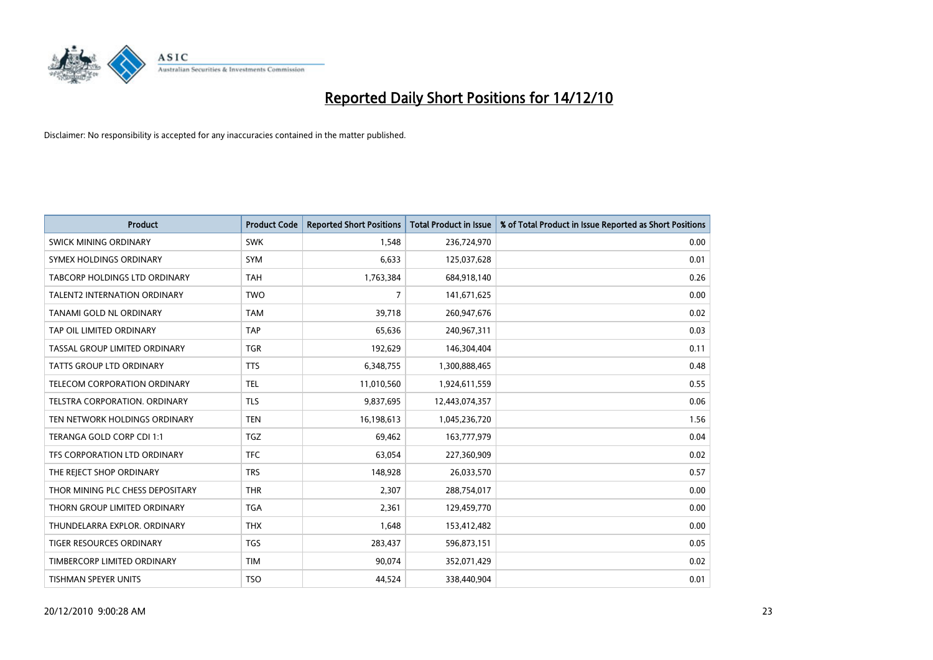

| <b>Product</b>                       | <b>Product Code</b> | <b>Reported Short Positions</b> | <b>Total Product in Issue</b> | % of Total Product in Issue Reported as Short Positions |
|--------------------------------------|---------------------|---------------------------------|-------------------------------|---------------------------------------------------------|
| SWICK MINING ORDINARY                | <b>SWK</b>          | 1,548                           | 236,724,970                   | 0.00                                                    |
| SYMEX HOLDINGS ORDINARY              | SYM                 | 6,633                           | 125,037,628                   | 0.01                                                    |
| <b>TABCORP HOLDINGS LTD ORDINARY</b> | <b>TAH</b>          | 1,763,384                       | 684,918,140                   | 0.26                                                    |
| TALENT2 INTERNATION ORDINARY         | <b>TWO</b>          | 7                               | 141,671,625                   | 0.00                                                    |
| TANAMI GOLD NL ORDINARY              | <b>TAM</b>          | 39,718                          | 260,947,676                   | 0.02                                                    |
| TAP OIL LIMITED ORDINARY             | <b>TAP</b>          | 65,636                          | 240,967,311                   | 0.03                                                    |
| TASSAL GROUP LIMITED ORDINARY        | <b>TGR</b>          | 192,629                         | 146,304,404                   | 0.11                                                    |
| TATTS GROUP LTD ORDINARY             | <b>TTS</b>          | 6,348,755                       | 1,300,888,465                 | 0.48                                                    |
| TELECOM CORPORATION ORDINARY         | <b>TEL</b>          | 11,010,560                      | 1,924,611,559                 | 0.55                                                    |
| TELSTRA CORPORATION, ORDINARY        | <b>TLS</b>          | 9,837,695                       | 12,443,074,357                | 0.06                                                    |
| TEN NETWORK HOLDINGS ORDINARY        | <b>TEN</b>          | 16,198,613                      | 1,045,236,720                 | 1.56                                                    |
| TERANGA GOLD CORP CDI 1:1            | <b>TGZ</b>          | 69,462                          | 163,777,979                   | 0.04                                                    |
| TFS CORPORATION LTD ORDINARY         | <b>TFC</b>          | 63,054                          | 227,360,909                   | 0.02                                                    |
| THE REJECT SHOP ORDINARY             | <b>TRS</b>          | 148,928                         | 26,033,570                    | 0.57                                                    |
| THOR MINING PLC CHESS DEPOSITARY     | <b>THR</b>          | 2,307                           | 288,754,017                   | 0.00                                                    |
| THORN GROUP LIMITED ORDINARY         | <b>TGA</b>          | 2,361                           | 129,459,770                   | 0.00                                                    |
| THUNDELARRA EXPLOR. ORDINARY         | <b>THX</b>          | 1,648                           | 153,412,482                   | 0.00                                                    |
| TIGER RESOURCES ORDINARY             | <b>TGS</b>          | 283,437                         | 596,873,151                   | 0.05                                                    |
| TIMBERCORP LIMITED ORDINARY          | <b>TIM</b>          | 90,074                          | 352,071,429                   | 0.02                                                    |
| TISHMAN SPEYER UNITS                 | <b>TSO</b>          | 44,524                          | 338,440,904                   | 0.01                                                    |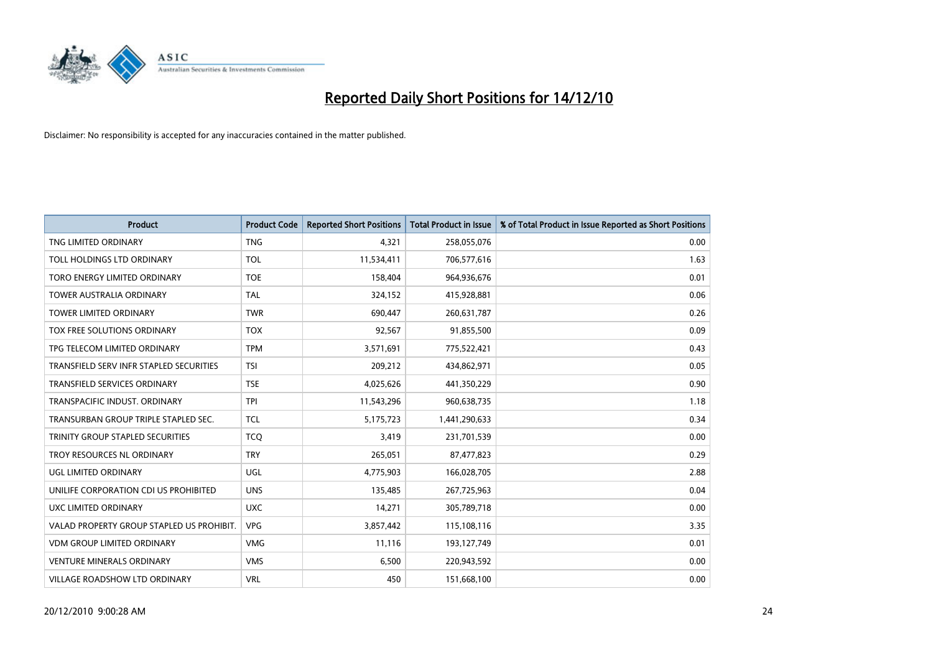

| <b>Product</b>                            | <b>Product Code</b> | <b>Reported Short Positions</b> | Total Product in Issue | % of Total Product in Issue Reported as Short Positions |
|-------------------------------------------|---------------------|---------------------------------|------------------------|---------------------------------------------------------|
| TNG LIMITED ORDINARY                      | <b>TNG</b>          | 4,321                           | 258,055,076            | 0.00                                                    |
| TOLL HOLDINGS LTD ORDINARY                | <b>TOL</b>          | 11,534,411                      | 706,577,616            | 1.63                                                    |
| TORO ENERGY LIMITED ORDINARY              | <b>TOE</b>          | 158,404                         | 964,936,676            | 0.01                                                    |
| TOWER AUSTRALIA ORDINARY                  | <b>TAL</b>          | 324,152                         | 415,928,881            | 0.06                                                    |
| <b>TOWER LIMITED ORDINARY</b>             | <b>TWR</b>          | 690,447                         | 260,631,787            | 0.26                                                    |
| <b>TOX FREE SOLUTIONS ORDINARY</b>        | <b>TOX</b>          | 92,567                          | 91,855,500             | 0.09                                                    |
| TPG TELECOM LIMITED ORDINARY              | <b>TPM</b>          | 3,571,691                       | 775,522,421            | 0.43                                                    |
| TRANSFIELD SERV INFR STAPLED SECURITIES   | <b>TSI</b>          | 209,212                         | 434,862,971            | 0.05                                                    |
| <b>TRANSFIELD SERVICES ORDINARY</b>       | <b>TSE</b>          | 4,025,626                       | 441,350,229            | 0.90                                                    |
| TRANSPACIFIC INDUST, ORDINARY             | <b>TPI</b>          | 11,543,296                      | 960,638,735            | 1.18                                                    |
| TRANSURBAN GROUP TRIPLE STAPLED SEC.      | <b>TCL</b>          | 5,175,723                       | 1,441,290,633          | 0.34                                                    |
| TRINITY GROUP STAPLED SECURITIES          | <b>TCQ</b>          | 3,419                           | 231,701,539            | 0.00                                                    |
| TROY RESOURCES NL ORDINARY                | <b>TRY</b>          | 265,051                         | 87,477,823             | 0.29                                                    |
| UGL LIMITED ORDINARY                      | UGL                 | 4,775,903                       | 166,028,705            | 2.88                                                    |
| UNILIFE CORPORATION CDI US PROHIBITED     | <b>UNS</b>          | 135,485                         | 267,725,963            | 0.04                                                    |
| UXC LIMITED ORDINARY                      | <b>UXC</b>          | 14,271                          | 305,789,718            | 0.00                                                    |
| VALAD PROPERTY GROUP STAPLED US PROHIBIT. | <b>VPG</b>          | 3,857,442                       | 115,108,116            | 3.35                                                    |
| <b>VDM GROUP LIMITED ORDINARY</b>         | <b>VMG</b>          | 11,116                          | 193,127,749            | 0.01                                                    |
| <b>VENTURE MINERALS ORDINARY</b>          | <b>VMS</b>          | 6,500                           | 220,943,592            | 0.00                                                    |
| VILLAGE ROADSHOW LTD ORDINARY             | <b>VRL</b>          | 450                             | 151,668,100            | 0.00                                                    |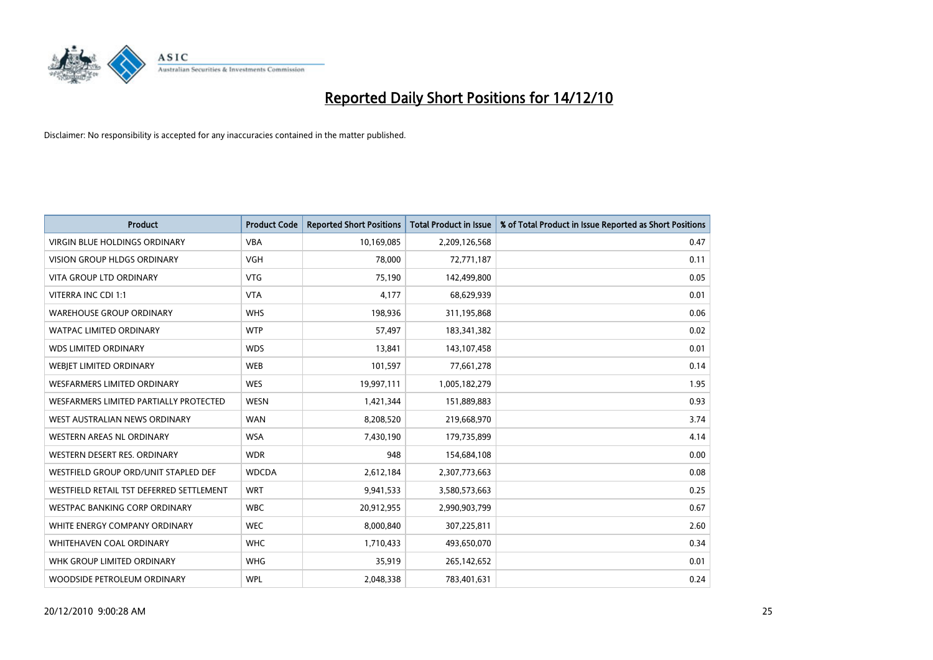

| <b>Product</b>                           | <b>Product Code</b> | <b>Reported Short Positions</b> | <b>Total Product in Issue</b> | % of Total Product in Issue Reported as Short Positions |
|------------------------------------------|---------------------|---------------------------------|-------------------------------|---------------------------------------------------------|
| <b>VIRGIN BLUE HOLDINGS ORDINARY</b>     | <b>VBA</b>          | 10,169,085                      | 2,209,126,568                 | 0.47                                                    |
| VISION GROUP HLDGS ORDINARY              | <b>VGH</b>          | 78,000                          | 72,771,187                    | 0.11                                                    |
| <b>VITA GROUP LTD ORDINARY</b>           | <b>VTG</b>          | 75,190                          | 142,499,800                   | 0.05                                                    |
| VITERRA INC CDI 1:1                      | <b>VTA</b>          | 4,177                           | 68,629,939                    | 0.01                                                    |
| <b>WAREHOUSE GROUP ORDINARY</b>          | <b>WHS</b>          | 198,936                         | 311,195,868                   | 0.06                                                    |
| <b>WATPAC LIMITED ORDINARY</b>           | <b>WTP</b>          | 57,497                          | 183,341,382                   | 0.02                                                    |
| <b>WDS LIMITED ORDINARY</b>              | <b>WDS</b>          | 13,841                          | 143,107,458                   | 0.01                                                    |
| WEBJET LIMITED ORDINARY                  | <b>WEB</b>          | 101,597                         | 77,661,278                    | 0.14                                                    |
| <b>WESFARMERS LIMITED ORDINARY</b>       | <b>WES</b>          | 19,997,111                      | 1,005,182,279                 | 1.95                                                    |
| WESFARMERS LIMITED PARTIALLY PROTECTED   | <b>WESN</b>         | 1,421,344                       | 151,889,883                   | 0.93                                                    |
| WEST AUSTRALIAN NEWS ORDINARY            | <b>WAN</b>          | 8,208,520                       | 219,668,970                   | 3.74                                                    |
| WESTERN AREAS NL ORDINARY                | <b>WSA</b>          | 7,430,190                       | 179,735,899                   | 4.14                                                    |
| WESTERN DESERT RES. ORDINARY             | <b>WDR</b>          | 948                             | 154,684,108                   | 0.00                                                    |
| WESTFIELD GROUP ORD/UNIT STAPLED DEF     | <b>WDCDA</b>        | 2,612,184                       | 2,307,773,663                 | 0.08                                                    |
| WESTFIELD RETAIL TST DEFERRED SETTLEMENT | <b>WRT</b>          | 9,941,533                       | 3,580,573,663                 | 0.25                                                    |
| WESTPAC BANKING CORP ORDINARY            | <b>WBC</b>          | 20,912,955                      | 2,990,903,799                 | 0.67                                                    |
| WHITE ENERGY COMPANY ORDINARY            | <b>WEC</b>          | 8,000,840                       | 307,225,811                   | 2.60                                                    |
| <b>WHITEHAVEN COAL ORDINARY</b>          | <b>WHC</b>          | 1,710,433                       | 493,650,070                   | 0.34                                                    |
| WHK GROUP LIMITED ORDINARY               | <b>WHG</b>          | 35,919                          | 265,142,652                   | 0.01                                                    |
| WOODSIDE PETROLEUM ORDINARY              | <b>WPL</b>          | 2,048,338                       | 783,401,631                   | 0.24                                                    |